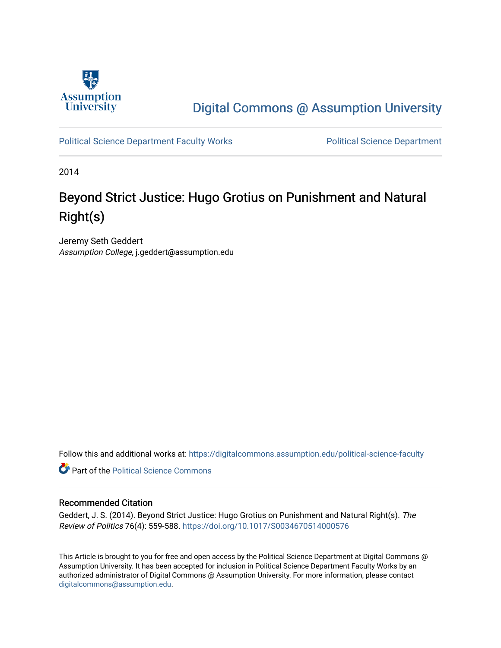

# [Digital Commons @ Assumption University](https://digitalcommons.assumption.edu/)

[Political Science Department Faculty Works](https://digitalcommons.assumption.edu/political-science-faculty) **Political Science Department** 

2014

# Beyond Strict Justice: Hugo Grotius on Punishment and Natural Right(s)

Jeremy Seth Geddert Assumption College, j.geddert@assumption.edu

Follow this and additional works at: [https://digitalcommons.assumption.edu/political-science-faculty](https://digitalcommons.assumption.edu/political-science-faculty?utm_source=digitalcommons.assumption.edu%2Fpolitical-science-faculty%2F33&utm_medium=PDF&utm_campaign=PDFCoverPages)

**Part of the Political Science Commons** 

### Recommended Citation

Geddert, J. S. (2014). Beyond Strict Justice: Hugo Grotius on Punishment and Natural Right(s). The Review of Politics 76(4): 559-588.<https://doi.org/10.1017/S0034670514000576>

This Article is brought to you for free and open access by the Political Science Department at Digital Commons @ Assumption University. It has been accepted for inclusion in Political Science Department Faculty Works by an authorized administrator of Digital Commons @ Assumption University. For more information, please contact [digitalcommons@assumption.edu](mailto:digitalcommons@assumption.edu).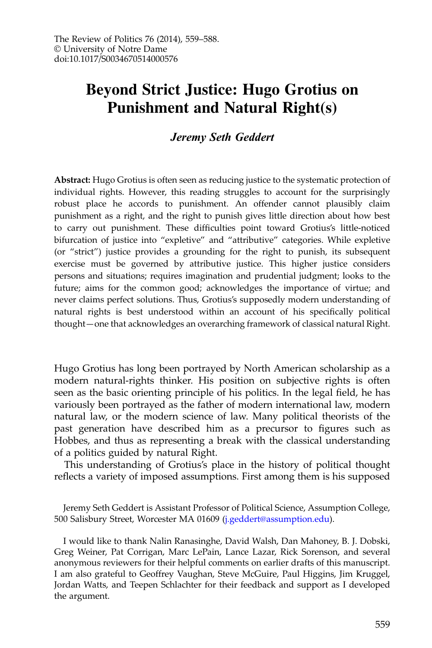## Beyond Strict Justice: Hugo Grotius on Punishment and Natural Right(s)

#### Jeremy Seth Geddert

Abstract: Hugo Grotius is often seen as reducing justice to the systematic protection of individual rights. However, this reading struggles to account for the surprisingly robust place he accords to punishment. An offender cannot plausibly claim punishment as a right, and the right to punish gives little direction about how best to carry out punishment. These difficulties point toward Grotius's little-noticed bifurcation of justice into "expletive" and "attributive" categories. While expletive (or "strict") justice provides a grounding for the right to punish, its subsequent exercise must be governed by attributive justice. This higher justice considers persons and situations; requires imagination and prudential judgment; looks to the future; aims for the common good; acknowledges the importance of virtue; and never claims perfect solutions. Thus, Grotius's supposedly modern understanding of natural rights is best understood within an account of his specifically political thought—one that acknowledges an overarching framework of classical natural Right.

Hugo Grotius has long been portrayed by North American scholarship as a modern natural-rights thinker. His position on subjective rights is often seen as the basic orienting principle of his politics. In the legal field, he has variously been portrayed as the father of modern international law, modern natural law, or the modern science of law. Many political theorists of the past generation have described him as a precursor to figures such as Hobbes, and thus as representing a break with the classical understanding of a politics guided by natural Right.

This understanding of Grotius's place in the history of political thought reflects a variety of imposed assumptions. First among them is his supposed

Jeremy Seth Geddert is Assistant Professor of Political Science, Assumption College, 500 Salisbury Street, Worcester MA 01609 [\(j.geddert@assumption.edu](mailto:j.geddert@assumption.edu)).

I would like to thank Nalin Ranasinghe, David Walsh, Dan Mahoney, B. J. Dobski, Greg Weiner, Pat Corrigan, Marc LePain, Lance Lazar, Rick Sorenson, and several anonymous reviewers for their helpful comments on earlier drafts of this manuscript. I am also grateful to Geoffrey Vaughan, Steve McGuire, Paul Higgins, Jim Kruggel, Jordan Watts, and Teepen Schlachter for their feedback and support as I developed the argument.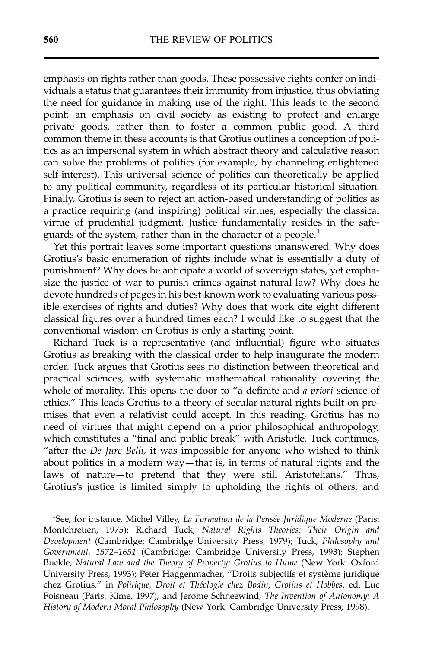emphasis on rights rather than goods. These possessive rights confer on individuals a status that guarantees their immunity from injustice, thus obviating the need for guidance in making use of the right. This leads to the second point: an emphasis on civil society as existing to protect and enlarge private goods, rather than to foster a common public good. A third common theme in these accounts is that Grotius outlines a conception of politics as an impersonal system in which abstract theory and calculative reason can solve the problems of politics (for example, by channeling enlightened self-interest). This universal science of politics can theoretically be applied to any political community, regardless of its particular historical situation. Finally, Grotius is seen to reject an action-based understanding of politics as a practice requiring (and inspiring) political virtues, especially the classical virtue of prudential judgment. Justice fundamentally resides in the safeguards of the system, rather than in the character of a people.<sup>1</sup>

Yet this portrait leaves some important questions unanswered. Why does Grotius's basic enumeration of rights include what is essentially a duty of punishment? Why does he anticipate a world of sovereign states, yet emphasize the justice of war to punish crimes against natural law? Why does he devote hundreds of pages in his best-known work to evaluating various possible exercises of rights and duties? Why does that work cite eight different classical figures over a hundred times each? I would like to suggest that the conventional wisdom on Grotius is only a starting point.

Richard Tuck is a representative (and influential) figure who situates Grotius as breaking with the classical order to help inaugurate the modern order. Tuck argues that Grotius sees no distinction between theoretical and practical sciences, with systematic mathematical rationality covering the whole of morality. This opens the door to "a definite and a priori science of ethics." This leads Grotius to a theory of secular natural rights built on premises that even a relativist could accept. In this reading, Grotius has no need of virtues that might depend on a prior philosophical anthropology, which constitutes a "final and public break" with Aristotle. Tuck continues, "after the De Jure Belli, it was impossible for anyone who wished to think about politics in a modern way—that is, in terms of natural rights and the laws of nature—to pretend that they were still Aristotelians." Thus, Grotius's justice is limited simply to upholding the rights of others, and

<sup>1</sup>See, for instance, Michel Villey, La Formation de la Pensée Juridique Moderne (Paris: Montchretien, 1975); Richard Tuck, Natural Rights Theories: Their Origin and Development (Cambridge: Cambridge University Press, 1979); Tuck, Philosophy and Government, 1572–1651 (Cambridge: Cambridge University Press, 1993); Stephen Buckle, Natural Law and the Theory of Property: Grotius to Hume (New York: Oxford University Press, 1993); Peter Haggenmacher, "Droits subjectifs et système juridique chez Grotius," in Politique, Droit et Théologie chez Bodin, Grotius et Hobbes, ed. Luc Foisneau (Paris: Kime, 1997), and Jerome Schneewind, The Invention of Autonomy: A History of Modern Moral Philosophy (New York: Cambridge University Press, 1998).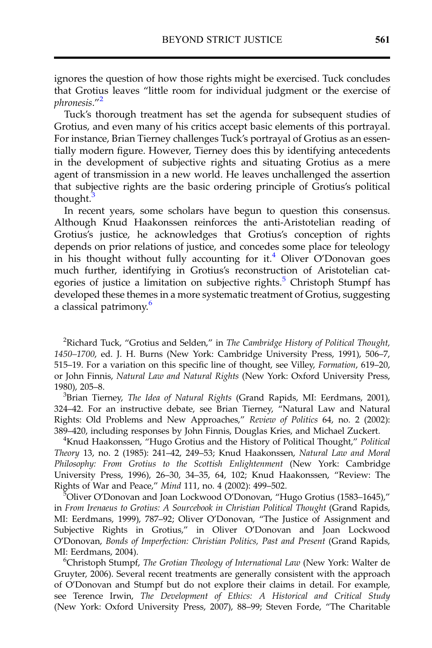ignores the question of how those rights might be exercised. Tuck concludes that Grotius leaves "little room for individual judgment or the exercise of phronesis."<sup>2</sup>

Tuck's thorough treatment has set the agenda for subsequent studies of Grotius, and even many of his critics accept basic elements of this portrayal. For instance, Brian Tierney challenges Tuck's portrayal of Grotius as an essentially modern figure. However, Tierney does this by identifying antecedents in the development of subjective rights and situating Grotius as a mere agent of transmission in a new world. He leaves unchallenged the assertion that subjective rights are the basic ordering principle of Grotius's political thought.<sup>3</sup>

In recent years, some scholars have begun to question this consensus. Although Knud Haakonssen reinforces the anti-Aristotelian reading of Grotius's justice, he acknowledges that Grotius's conception of rights depends on prior relations of justice, and concedes some place for teleology in his thought without fully accounting for it.<sup>4</sup> Oliver O'Donovan goes much further, identifying in Grotius's reconstruction of Aristotelian categories of justice a limitation on subjective rights.<sup>5</sup> Christoph Stumpf has developed these themes in a more systematic treatment of Grotius, suggesting a classical patrimony.<sup>6</sup>

<sup>2</sup>Richard Tuck, "Grotius and Selden," in The Cambridge History of Political Thought, 1450–1700, ed. J. H. Burns (New York: Cambridge University Press, 1991), 506–7, 515–19. For a variation on this specific line of thought, see Villey, Formation, 619–20, or John Finnis, Natural Law and Natural Rights (New York: Oxford University Press, 1980), 205–8. <sup>3</sup>

 ${}^{3}$ Brian Tierney, *The Idea of Natural Rights* (Grand Rapids, MI: Eerdmans, 2001), 324–42. For an instructive debate, see Brian Tierney, "Natural Law and Natural Rights: Old Problems and New Approaches," Review of Politics 64, no. 2 (2002): <sup>389</sup>–420, including responses by John Finnis, Douglas Kries, and Michael Zuckert. <sup>4</sup>

<sup>4</sup>Knud Haakonssen, "Hugo Grotius and the History of Political Thought," Political Theory 13, no. 2 (1985): 241–42, 249–53; Knud Haakonssen, Natural Law and Moral Philosophy: From Grotius to the Scottish Enlightenment (New York: Cambridge University Press, 1996), 26–30, 34–35, 64, 102; Knud Haakonssen, "Review: The Rights of War and Peace," Mind 111, no. 4 (2002): 499-502.

Oliver O'Donovan and Joan Lockwood O'Donovan, "Hugo Grotius (1583–1645)," in From Irenaeus to Grotius: A Sourcebook in Christian Political Thought (Grand Rapids, MI: Eerdmans, 1999), 787–92; Oliver O'Donovan, "The Justice of Assignment and Subjective Rights in Grotius," in Oliver O'Donovan and Joan Lockwood O'Donovan, Bonds of Imperfection: Christian Politics, Past and Present (Grand Rapids, MI: Eerdmans, 2004). <sup>6</sup>

Christoph Stumpf, The Grotian Theology of International Law (New York: Walter de Gruyter, 2006). Several recent treatments are generally consistent with the approach of O'Donovan and Stumpf but do not explore their claims in detail. For example, see Terence Irwin, The Development of Ethics: A Historical and Critical Study (New York: Oxford University Press, 2007), 88–99; Steven Forde, "The Charitable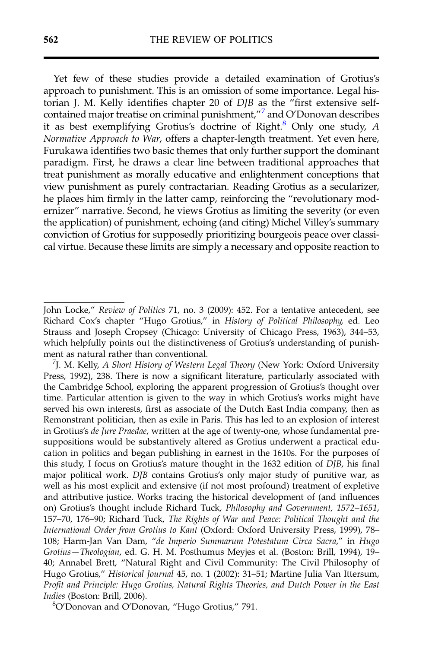Yet few of these studies provide a detailed examination of Grotius's approach to punishment. This is an omission of some importance. Legal historian J. M. Kelly identifies chapter 20 of DJB as the "first extensive selfcontained major treatise on criminal punishment,"<sup>7</sup> and O'Donovan describes it as best exemplifying Grotius's doctrine of  $Right<sup>8</sup>$  Only one study, A Normative Approach to War, offers a chapter-length treatment. Yet even here, Furukawa identifies two basic themes that only further support the dominant paradigm. First, he draws a clear line between traditional approaches that treat punishment as morally educative and enlightenment conceptions that view punishment as purely contractarian. Reading Grotius as a secularizer, he places him firmly in the latter camp, reinforcing the "revolutionary modernizer" narrative. Second, he views Grotius as limiting the severity (or even the application) of punishment, echoing (and citing) Michel Villey's summary conviction of Grotius for supposedly prioritizing bourgeois peace over classical virtue. Because these limits are simply a necessary and opposite reaction to

John Locke," Review of Politics 71, no. 3 (2009): 452. For a tentative antecedent, see Richard Cox's chapter "Hugo Grotius," in History of Political Philosophy, ed. Leo Strauss and Joseph Cropsey (Chicago: University of Chicago Press, 1963), 344–53, which helpfully points out the distinctiveness of Grotius's understanding of punishment as natural rather than conventional. <sup>7</sup>

<sup>&</sup>lt;sup>7</sup>J. M. Kelly, A Short History of Western Legal Theory (New York: Oxford University Press, 1992), 238. There is now a significant literature, particularly associated with the Cambridge School, exploring the apparent progression of Grotius's thought over time. Particular attention is given to the way in which Grotius's works might have served his own interests, first as associate of the Dutch East India company, then as Remonstrant politician, then as exile in Paris. This has led to an explosion of interest in Grotius's de Jure Praedae, written at the age of twenty-one, whose fundamental presuppositions would be substantively altered as Grotius underwent a practical education in politics and began publishing in earnest in the 1610s. For the purposes of this study, I focus on Grotius's mature thought in the 1632 edition of DJB, his final major political work. DJB contains Grotius's only major study of punitive war, as well as his most explicit and extensive (if not most profound) treatment of expletive and attributive justice. Works tracing the historical development of (and influences on) Grotius's thought include Richard Tuck, Philosophy and Government, 1572–1651, 157–70, 176–90; Richard Tuck, The Rights of War and Peace: Political Thought and the International Order from Grotius to Kant (Oxford: Oxford University Press, 1999), 78– 108; Harm-Jan Van Dam, "de Imperio Summarum Potestatum Circa Sacra," in Hugo Grotius—Theologian, ed. G. H. M. Posthumus Meyjes et al. (Boston: Brill, 1994), 19– 40; Annabel Brett, "Natural Right and Civil Community: The Civil Philosophy of Hugo Grotius," Historical Journal 45, no. 1 (2002): 31–51; Martine Julia Van Ittersum, Profit and Principle: Hugo Grotius, Natural Rights Theories, and Dutch Power in the East Indies (Boston: Brill, 2006).

O'Donovan and O'Donovan, "Hugo Grotius," 791.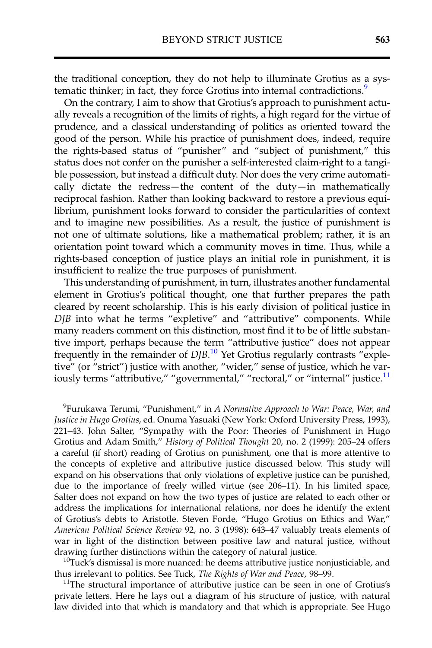the traditional conception, they do not help to illuminate Grotius as a systematic thinker; in fact, they force Grotius into internal contradictions.<sup>9</sup>

On the contrary, I aim to show that Grotius's approach to punishment actually reveals a recognition of the limits of rights, a high regard for the virtue of prudence, and a classical understanding of politics as oriented toward the good of the person. While his practice of punishment does, indeed, require the rights-based status of "punisher" and "subject of punishment," this status does not confer on the punisher a self-interested claim-right to a tangible possession, but instead a difficult duty. Nor does the very crime automatically dictate the redress—the content of the duty—in mathematically reciprocal fashion. Rather than looking backward to restore a previous equilibrium, punishment looks forward to consider the particularities of context and to imagine new possibilities. As a result, the justice of punishment is not one of ultimate solutions, like a mathematical problem; rather, it is an orientation point toward which a community moves in time. Thus, while a rights-based conception of justice plays an initial role in punishment, it is insufficient to realize the true purposes of punishment.

This understanding of punishment, in turn, illustrates another fundamental element in Grotius's political thought, one that further prepares the path cleared by recent scholarship. This is his early division of political justice in DJB into what he terms "expletive" and "attributive" components. While many readers comment on this distinction, most find it to be of little substantive import, perhaps because the term "attributive justice" does not appear frequently in the remainder of DJB.<sup>10</sup> Yet Grotius regularly contrasts "expletive" (or "strict") justice with another, "wider," sense of justice, which he variously terms "attributive," "governmental," "rectoral," or "internal" justice.<sup>11</sup>

<sup>9</sup>Furukawa Terumi, "Punishment," in A Normative Approach to War: Peace, War, and Justice in Hugo Grotius, ed. Onuma Yasuaki (New York: Oxford University Press, 1993), 221–43. John Salter, "Sympathy with the Poor: Theories of Punishment in Hugo Grotius and Adam Smith," History of Political Thought 20, no. 2 (1999): 205–24 offers a careful (if short) reading of Grotius on punishment, one that is more attentive to the concepts of expletive and attributive justice discussed below. This study will expand on his observations that only violations of expletive justice can be punished, due to the importance of freely willed virtue (see 206–11). In his limited space, Salter does not expand on how the two types of justice are related to each other or address the implications for international relations, nor does he identify the extent of Grotius's debts to Aristotle. Steven Forde, "Hugo Grotius on Ethics and War," American Political Science Review 92, no. 3 (1998): 643–47 valuably treats elements of war in light of the distinction between positive law and natural justice, without drawing further distinctions within the category of natural justice.<br><sup>10</sup>Tuck's dismissal is more nuanced: he deems attributive justice nonjusticiable, and

thus irrelevant to politics. See Tuck, *The Rights of War and Peace*, 98–99.<br><sup>11</sup>The structural importance of attributive justice can be seen in one of Grotius's

private letters. Here he lays out a diagram of his structure of justice, with natural law divided into that which is mandatory and that which is appropriate. See Hugo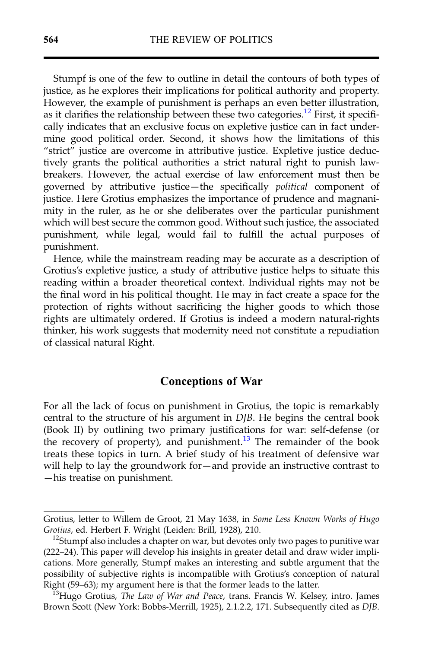Stumpf is one of the few to outline in detail the contours of both types of justice, as he explores their implications for political authority and property. However, the example of punishment is perhaps an even better illustration, as it clarifies the relationship between these two categories.<sup>12</sup> First, it specifically indicates that an exclusive focus on expletive justice can in fact undermine good political order. Second, it shows how the limitations of this "strict" justice are overcome in attributive justice. Expletive justice deductively grants the political authorities a strict natural right to punish lawbreakers. However, the actual exercise of law enforcement must then be governed by attributive justice—the specifically political component of justice. Here Grotius emphasizes the importance of prudence and magnanimity in the ruler, as he or she deliberates over the particular punishment which will best secure the common good. Without such justice, the associated punishment, while legal, would fail to fulfill the actual purposes of punishment.

Hence, while the mainstream reading may be accurate as a description of Grotius's expletive justice, a study of attributive justice helps to situate this reading within a broader theoretical context. Individual rights may not be the final word in his political thought. He may in fact create a space for the protection of rights without sacrificing the higher goods to which those rights are ultimately ordered. If Grotius is indeed a modern natural-rights thinker, his work suggests that modernity need not constitute a repudiation of classical natural Right.

#### Conceptions of War

For all the lack of focus on punishment in Grotius, the topic is remarkably central to the structure of his argument in DJB. He begins the central book (Book II) by outlining two primary justifications for war: self-defense (or the recovery of property), and punishment. $13$  The remainder of the book treats these topics in turn. A brief study of his treatment of defensive war will help to lay the groundwork for—and provide an instructive contrast to —his treatise on punishment.

Grotius, letter to Willem de Groot, 21 May 1638, in Some Less Known Works of Hugo Grotius, ed. Herbert F. Wright (Leiden: Brill, 1928), 210.<br><sup>12</sup>Stumpf also includes a chapter on war, but devotes only two pages to punitive war

<sup>(222</sup>–24). This paper will develop his insights in greater detail and draw wider implications. More generally, Stumpf makes an interesting and subtle argument that the possibility of subjective rights is incompatible with Grotius's conception of natural Right (59–63); my argument here is that the former leads to the latter.<br><sup>13</sup>Hugo Grotius, *The Law of War and Peace*, trans. Francis W. Kelsey, intro. James

Brown Scott (New York: Bobbs-Merrill, 1925), 2.1.2.2, 171. Subsequently cited as DJB.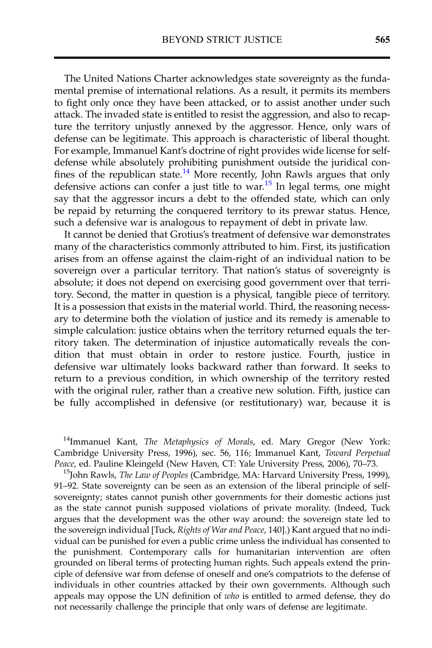The United Nations Charter acknowledges state sovereignty as the fundamental premise of international relations. As a result, it permits its members to fight only once they have been attacked, or to assist another under such attack. The invaded state is entitled to resist the aggression, and also to recapture the territory unjustly annexed by the aggressor. Hence, only wars of defense can be legitimate. This approach is characteristic of liberal thought. For example, Immanuel Kant's doctrine of right provides wide license for selfdefense while absolutely prohibiting punishment outside the juridical confines of the republican state.<sup>14</sup> More recently, John Rawls argues that only defensive actions can confer a just title to war.<sup>15</sup> In legal terms, one might say that the aggressor incurs a debt to the offended state, which can only be repaid by returning the conquered territory to its prewar status. Hence, such a defensive war is analogous to repayment of debt in private law.

It cannot be denied that Grotius's treatment of defensive war demonstrates many of the characteristics commonly attributed to him. First, its justification arises from an offense against the claim-right of an individual nation to be sovereign over a particular territory. That nation's status of sovereignty is absolute; it does not depend on exercising good government over that territory. Second, the matter in question is a physical, tangible piece of territory. It is a possession that exists in the material world. Third, the reasoning necessary to determine both the violation of justice and its remedy is amenable to simple calculation: justice obtains when the territory returned equals the territory taken. The determination of injustice automatically reveals the condition that must obtain in order to restore justice. Fourth, justice in defensive war ultimately looks backward rather than forward. It seeks to return to a previous condition, in which ownership of the territory rested with the original ruler, rather than a creative new solution. Fifth, justice can be fully accomplished in defensive (or restitutionary) war, because it is

<sup>14</sup>Immanuel Kant, The Metaphysics of Morals, ed. Mary Gregor (New York: Cambridge University Press, 1996), sec. 56, 116; Immanuel Kant, Toward Perpetual Peace, ed. Pauline Kleingeld (New Haven, CT: Yale University Press, 2006), 70–73.<br><sup>15</sup>John Rawls, *The Law of Peoples* (Cambridge, MA: Harvard University Press, 1999),

91–92. State sovereignty can be seen as an extension of the liberal principle of selfsovereignty; states cannot punish other governments for their domestic actions just as the state cannot punish supposed violations of private morality. (Indeed, Tuck argues that the development was the other way around: the sovereign state led to the sovereign individual [Tuck, Rights of War and Peace, 140].) Kant argued that no individual can be punished for even a public crime unless the individual has consented to the punishment. Contemporary calls for humanitarian intervention are often grounded on liberal terms of protecting human rights. Such appeals extend the principle of defensive war from defense of oneself and one's compatriots to the defense of individuals in other countries attacked by their own governments. Although such appeals may oppose the UN definition of who is entitled to armed defense, they do not necessarily challenge the principle that only wars of defense are legitimate.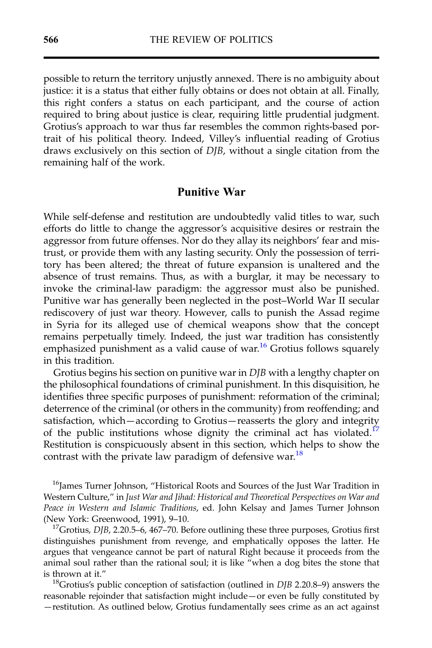possible to return the territory unjustly annexed. There is no ambiguity about justice: it is a status that either fully obtains or does not obtain at all. Finally, this right confers a status on each participant, and the course of action required to bring about justice is clear, requiring little prudential judgment. Grotius's approach to war thus far resembles the common rights-based portrait of his political theory. Indeed, Villey's influential reading of Grotius draws exclusively on this section of DJB, without a single citation from the remaining half of the work.

#### Punitive War

While self-defense and restitution are undoubtedly valid titles to war, such efforts do little to change the aggressor's acquisitive desires or restrain the aggressor from future offenses. Nor do they allay its neighbors' fear and mistrust, or provide them with any lasting security. Only the possession of territory has been altered; the threat of future expansion is unaltered and the absence of trust remains. Thus, as with a burglar, it may be necessary to invoke the criminal-law paradigm: the aggressor must also be punished. Punitive war has generally been neglected in the post–World War II secular rediscovery of just war theory. However, calls to punish the Assad regime in Syria for its alleged use of chemical weapons show that the concept remains perpetually timely. Indeed, the just war tradition has consistently emphasized punishment as a valid cause of war.<sup>16</sup> Grotius follows squarely in this tradition.

Grotius begins his section on punitive war in DJB with a lengthy chapter on the philosophical foundations of criminal punishment. In this disquisition, he identifies three specific purposes of punishment: reformation of the criminal; deterrence of the criminal (or others in the community) from reoffending; and satisfaction, which—according to Grotius—reasserts the glory and integrity of the public institutions whose dignity the criminal act has violated.<sup>17</sup> Restitution is conspicuously absent in this section, which helps to show the contrast with the private law paradigm of defensive war.<sup>18</sup>

<sup>16</sup>James Turner Johnson, "Historical Roots and Sources of the Just War Tradition in Western Culture," in Just War and Jihad: Historical and Theoretical Perspectives on War and Peace in Western and Islamic Traditions, ed. John Kelsay and James Turner Johnson (New York: Greenwood, 1991), 9–10.<br><sup>17</sup>Grotius, *DJB*, 2.20.5–6, 467–70. Before outlining these three purposes, Grotius first

distinguishes punishment from revenge, and emphatically opposes the latter. He argues that vengeance cannot be part of natural Right because it proceeds from the animal soul rather than the rational soul; it is like "when a dog bites the stone that is thrown at it."<br><sup>18</sup>Grotius's public conception of satisfaction (outlined in *DJB* 2.20.8–9) answers the

reasonable rejoinder that satisfaction might include—or even be fully constituted by —restitution. As outlined below, Grotius fundamentally sees crime as an act against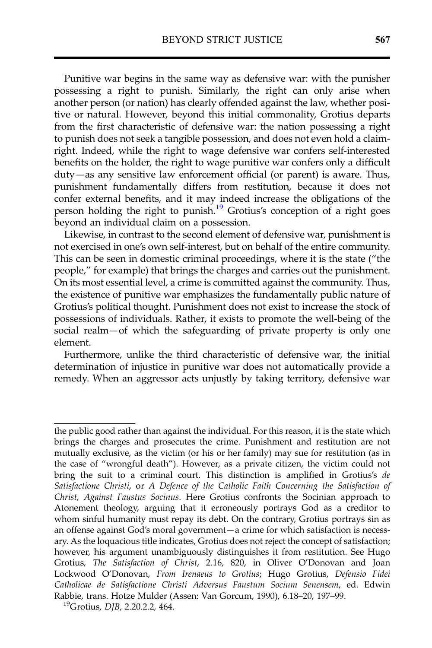Punitive war begins in the same way as defensive war: with the punisher possessing a right to punish. Similarly, the right can only arise when another person (or nation) has clearly offended against the law, whether positive or natural. However, beyond this initial commonality, Grotius departs from the first characteristic of defensive war: the nation possessing a right to punish does not seek a tangible possession, and does not even hold a claimright. Indeed, while the right to wage defensive war confers self-interested benefits on the holder, the right to wage punitive war confers only a difficult duty—as any sensitive law enforcement official (or parent) is aware. Thus, punishment fundamentally differs from restitution, because it does not confer external benefits, and it may indeed increase the obligations of the person holding the right to punish.<sup>19</sup> Grotius's conception of a right goes beyond an individual claim on a possession.

Likewise, in contrast to the second element of defensive war, punishment is not exercised in one's own self-interest, but on behalf of the entire community. This can be seen in domestic criminal proceedings, where it is the state ("the people," for example) that brings the charges and carries out the punishment. On its most essential level, a crime is committed against the community. Thus, the existence of punitive war emphasizes the fundamentally public nature of Grotius's political thought. Punishment does not exist to increase the stock of possessions of individuals. Rather, it exists to promote the well-being of the social realm—of which the safeguarding of private property is only one element.

Furthermore, unlike the third characteristic of defensive war, the initial determination of injustice in punitive war does not automatically provide a remedy. When an aggressor acts unjustly by taking territory, defensive war

the public good rather than against the individual. For this reason, it is the state which brings the charges and prosecutes the crime. Punishment and restitution are not mutually exclusive, as the victim (or his or her family) may sue for restitution (as in the case of "wrongful death"). However, as a private citizen, the victim could not bring the suit to a criminal court. This distinction is amplified in Grotius's de Satisfactione Christi, or A Defence of the Catholic Faith Concerning the Satisfaction of Christ, Against Faustus Socinus. Here Grotius confronts the Socinian approach to Atonement theology, arguing that it erroneously portrays God as a creditor to whom sinful humanity must repay its debt. On the contrary, Grotius portrays sin as an offense against God's moral government—a crime for which satisfaction is necessary. As the loquacious title indicates, Grotius does not reject the concept of satisfaction; however, his argument unambiguously distinguishes it from restitution. See Hugo Grotius, The Satisfaction of Christ, 2.16, 820, in Oliver O'Donovan and Joan Lockwood O'Donovan, From Irenaeus to Grotius; Hugo Grotius, Defensio Fidei Catholicae de Satisfactione Christi Adversus Faustum Socium Senensem, ed. Edwin Rabbie, trans. Hotze Mulder (Assen: Van Gorcum, 1990), 6.18–20, 197–99.<br><sup>19</sup>Grotius, *DJB*, 2.20.2.2, 464.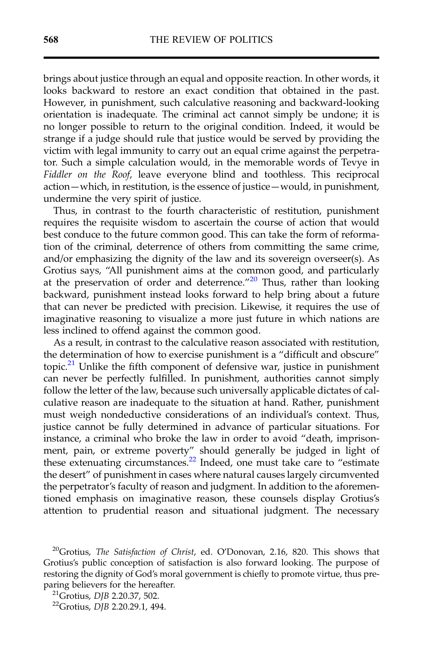brings about justice through an equal and opposite reaction. In other words, it looks backward to restore an exact condition that obtained in the past. However, in punishment, such calculative reasoning and backward-looking orientation is inadequate. The criminal act cannot simply be undone; it is no longer possible to return to the original condition. Indeed, it would be strange if a judge should rule that justice would be served by providing the victim with legal immunity to carry out an equal crime against the perpetrator. Such a simple calculation would, in the memorable words of Tevye in Fiddler on the Roof, leave everyone blind and toothless. This reciprocal action—which, in restitution, is the essence of justice—would, in punishment, undermine the very spirit of justice.

Thus, in contrast to the fourth characteristic of restitution, punishment requires the requisite wisdom to ascertain the course of action that would best conduce to the future common good. This can take the form of reformation of the criminal, deterrence of others from committing the same crime, and/or emphasizing the dignity of the law and its sovereign overseer(s). As Grotius says, "All punishment aims at the common good, and particularly at the preservation of order and deterrence."<sup>20</sup> Thus, rather than looking backward, punishment instead looks forward to help bring about a future that can never be predicted with precision. Likewise, it requires the use of imaginative reasoning to visualize a more just future in which nations are less inclined to offend against the common good.

As a result, in contrast to the calculative reason associated with restitution, the determination of how to exercise punishment is a "difficult and obscure" topic.<sup>21</sup> Unlike the fifth component of defensive war, justice in punishment can never be perfectly fulfilled. In punishment, authorities cannot simply follow the letter of the law, because such universally applicable dictates of calculative reason are inadequate to the situation at hand. Rather, punishment must weigh nondeductive considerations of an individual's context. Thus, justice cannot be fully determined in advance of particular situations. For instance, a criminal who broke the law in order to avoid "death, imprisonment, pain, or extreme poverty" should generally be judged in light of these extenuating circumstances.<sup>22</sup> Indeed, one must take care to "estimate the desert" of punishment in cases where natural causes largely circumvented the perpetrator's faculty of reason and judgment. In addition to the aforementioned emphasis on imaginative reason, these counsels display Grotius's attention to prudential reason and situational judgment. The necessary

<sup>&</sup>lt;sup>20</sup>Grotius, The Satisfaction of Christ, ed. O'Donovan, 2.16, 820. This shows that Grotius's public conception of satisfaction is also forward looking. The purpose of restoring the dignity of God's moral government is chiefly to promote virtue, thus preparing believers for the hereafter.<br><sup>21</sup>Grotius, *DJB* 2.20.37, 502.<br><sup>22</sup>Grotius, *DJB* 2.20.29.1, 494.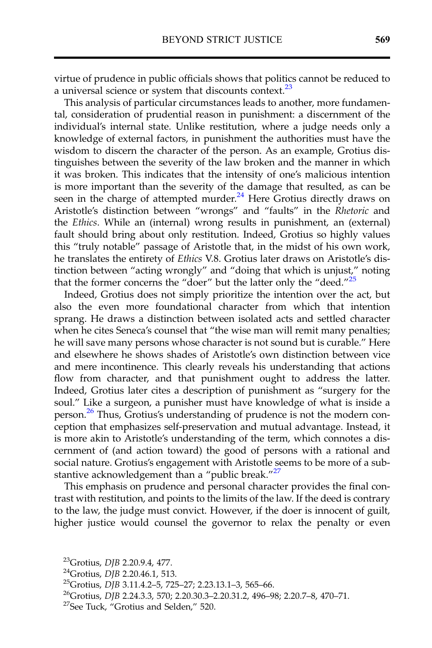virtue of prudence in public officials shows that politics cannot be reduced to a universal science or system that discounts context.<sup>23</sup>

This analysis of particular circumstances leads to another, more fundamental, consideration of prudential reason in punishment: a discernment of the individual's internal state. Unlike restitution, where a judge needs only a knowledge of external factors, in punishment the authorities must have the wisdom to discern the character of the person. As an example, Grotius distinguishes between the severity of the law broken and the manner in which it was broken. This indicates that the intensity of one's malicious intention is more important than the severity of the damage that resulted, as can be seen in the charge of attempted murder.<sup>24</sup> Here Grotius directly draws on Aristotle's distinction between "wrongs" and "faults" in the Rhetoric and the Ethics. While an (internal) wrong results in punishment, an (external) fault should bring about only restitution. Indeed, Grotius so highly values this "truly notable" passage of Aristotle that, in the midst of his own work, he translates the entirety of *Ethics V.8*. Grotius later draws on Aristotle's distinction between "acting wrongly" and "doing that which is unjust," noting that the former concerns the "doer" but the latter only the "deed." $25$ 

Indeed, Grotius does not simply prioritize the intention over the act, but also the even more foundational character from which that intention sprang. He draws a distinction between isolated acts and settled character when he cites Seneca's counsel that "the wise man will remit many penalties; he will save many persons whose character is not sound but is curable." Here and elsewhere he shows shades of Aristotle's own distinction between vice and mere incontinence. This clearly reveals his understanding that actions flow from character, and that punishment ought to address the latter. Indeed, Grotius later cites a description of punishment as "surgery for the soul." Like a surgeon, a punisher must have knowledge of what is inside a person.<sup>26</sup> Thus, Grotius's understanding of prudence is not the modern conception that emphasizes self-preservation and mutual advantage. Instead, it is more akin to Aristotle's understanding of the term, which connotes a discernment of (and action toward) the good of persons with a rational and social nature. Grotius's engagement with Aristotle seems to be more of a substantive acknowledgement than a "public break."<sup>27</sup>

This emphasis on prudence and personal character provides the final contrast with restitution, and points to the limits of the law. If the deed is contrary to the law, the judge must convict. However, if the doer is innocent of guilt, higher justice would counsel the governor to relax the penalty or even

<sup>&</sup>lt;sup>23</sup>Grotius, *DJB* 2.20.9.4, 477.<br><sup>24</sup>Grotius, *DJB* 2.20.46.1, 513.<br><sup>25</sup>Grotius, *DJB* 3.11.4.2–5, 725–27; 2.23.13.1–3, 565–66.<br><sup>26</sup>Grotius, *DJB* 2.24.3.3, 570; 2.20.30.3–2.20.31.2, 496–98; 2.20.7–8, 470–71.<br><sup>27</sup>See Tuc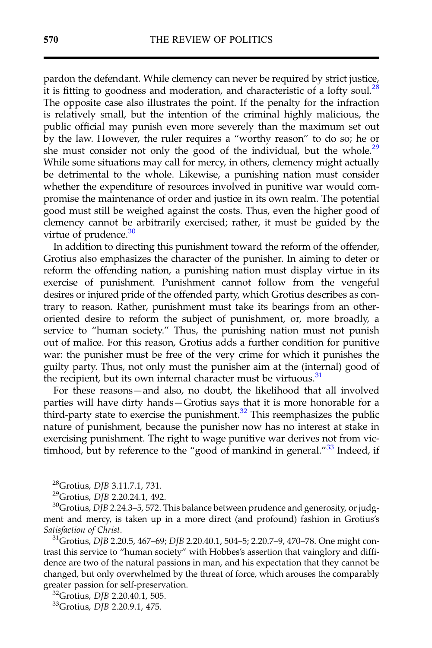pardon the defendant. While clemency can never be required by strict justice, it is fitting to goodness and moderation, and characteristic of a lofty soul. $^{28}$ The opposite case also illustrates the point. If the penalty for the infraction is relatively small, but the intention of the criminal highly malicious, the public official may punish even more severely than the maximum set out by the law. However, the ruler requires a "worthy reason" to do so; he or she must consider not only the good of the individual, but the whole.<sup>29</sup> While some situations may call for mercy, in others, clemency might actually be detrimental to the whole. Likewise, a punishing nation must consider whether the expenditure of resources involved in punitive war would compromise the maintenance of order and justice in its own realm. The potential good must still be weighed against the costs. Thus, even the higher good of clemency cannot be arbitrarily exercised; rather, it must be guided by the virtue of prudence. $30$ 

In addition to directing this punishment toward the reform of the offender, Grotius also emphasizes the character of the punisher. In aiming to deter or reform the offending nation, a punishing nation must display virtue in its exercise of punishment. Punishment cannot follow from the vengeful desires or injured pride of the offended party, which Grotius describes as contrary to reason. Rather, punishment must take its bearings from an otheroriented desire to reform the subject of punishment, or, more broadly, a service to "human society." Thus, the punishing nation must not punish out of malice. For this reason, Grotius adds a further condition for punitive war: the punisher must be free of the very crime for which it punishes the guilty party. Thus, not only must the punisher aim at the (internal) good of the recipient, but its own internal character must be virtuous.<sup>31</sup>

For these reasons—and also, no doubt, the likelihood that all involved parties will have dirty hands—Grotius says that it is more honorable for a third-party state to exercise the punishment.<sup>32</sup> This reemphasizes the public nature of punishment, because the punisher now has no interest at stake in exercising punishment. The right to wage punitive war derives not from victimhood, but by reference to the "good of mankind in general." $33$  Indeed, if

trast this service to "human society" with Hobbes's assertion that vainglory and diffidence are two of the natural passions in man, and his expectation that they cannot be changed, but only overwhelmed by the threat of force, which arouses the comparably greater passion for self-preservation.<br><sup>32</sup>Grotius, DJB 2.20.40.1, 505.<br><sup>33</sup>Grotius, DJB 2.20.9.1, 475.

<sup>&</sup>lt;sup>28</sup>Grotius*, DJB 3.*11.7.1, 731.<br><sup>29</sup>Grotius, *DJB 2.20.24.1, 492.*<br><sup>30</sup>Grotius*, DJB 2.24.3–*5, 572. This balance between prudence and generosity, or judgment and mercy, is taken up in a more direct (and profound) fashion in Grotius's Satisfaction of Christ.<br><sup>31</sup>Grotius, DJB 2.20.5, 467–69; DJB 2.20.40.1, 504–5; 2.20.7–9, 470–78. One might con-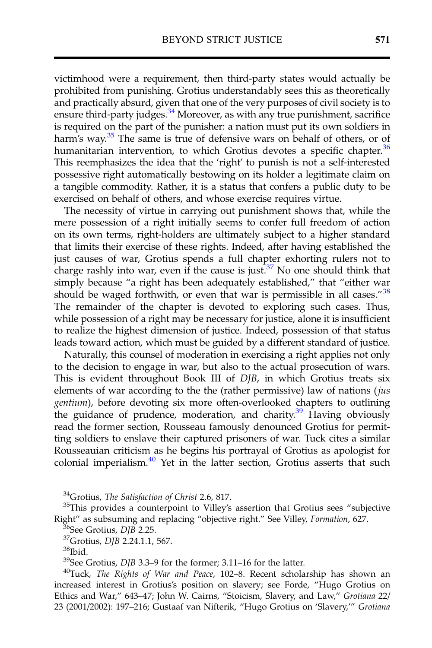victimhood were a requirement, then third-party states would actually be prohibited from punishing. Grotius understandably sees this as theoretically and practically absurd, given that one of the very purposes of civil society is to ensure third-party judges. $34$  Moreover, as with any true punishment, sacrifice is required on the part of the punisher: a nation must put its own soldiers in harm's way. $35$  The same is true of defensive wars on behalf of others, or of humanitarian intervention, to which Grotius devotes a specific chapter.<sup>36</sup> This reemphasizes the idea that the 'right' to punish is not a self-interested possessive right automatically bestowing on its holder a legitimate claim on a tangible commodity. Rather, it is a status that confers a public duty to be exercised on behalf of others, and whose exercise requires virtue.

The necessity of virtue in carrying out punishment shows that, while the mere possession of a right initially seems to confer full freedom of action on its own terms, right-holders are ultimately subject to a higher standard that limits their exercise of these rights. Indeed, after having established the just causes of war, Grotius spends a full chapter exhorting rulers not to charge rashly into war, even if the cause is just.<sup>37</sup> No one should think that simply because "a right has been adequately established," that "either war should be waged forthwith, or even that war is permissible in all cases."<sup>38</sup> The remainder of the chapter is devoted to exploring such cases. Thus, while possession of a right may be necessary for justice, alone it is insufficient to realize the highest dimension of justice. Indeed, possession of that status leads toward action, which must be guided by a different standard of justice.

Naturally, this counsel of moderation in exercising a right applies not only to the decision to engage in war, but also to the actual prosecution of wars. This is evident throughout Book III of DJB, in which Grotius treats six elements of war according to the the (rather permissive) law of nations (jus gentium), before devoting six more often-overlooked chapters to outlining the guidance of prudence, moderation, and charity.<sup>39</sup> Having obviously read the former section, Rousseau famously denounced Grotius for permitting soldiers to enslave their captured prisoners of war. Tuck cites a similar Rousseauian criticism as he begins his portrayal of Grotius as apologist for colonial imperialism.<sup>40</sup> Yet in the latter section, Grotius asserts that such

<sup>34</sup>Grotius, The Satisfaction of Christ 2.6, 817.<br><sup>35</sup>This provides a counterpoint to Villey's assertion that Grotius sees "subjective Right" as subsuming and replacing "objective right." See Villey, Formation, 627.<br><sup>36</sup>See Grotius, *DJB* 2.25.<br><sup>37</sup>Grotius, *DJB* 2.24.1.1, 567.<br><sup>38</sup>Ibid.<br><sup>39</sup>See Grotius, *DJB* 3.3–9 for the former; 3.11–16 for the latter

 $30$ Tuck, The Rights of War and Peace, 102–8. Recent scholarship has shown an increased interest in Grotius's position on slavery; see Forde, "Hugo Grotius on Ethics and War," 643-47; John W. Cairns, "Stoicism, Slavery, and Law," Grotiana 22/ 23 (2001/2002): 197–216; Gustaaf van Nifterik, "Hugo Grotius on 'Slavery,'" Grotiana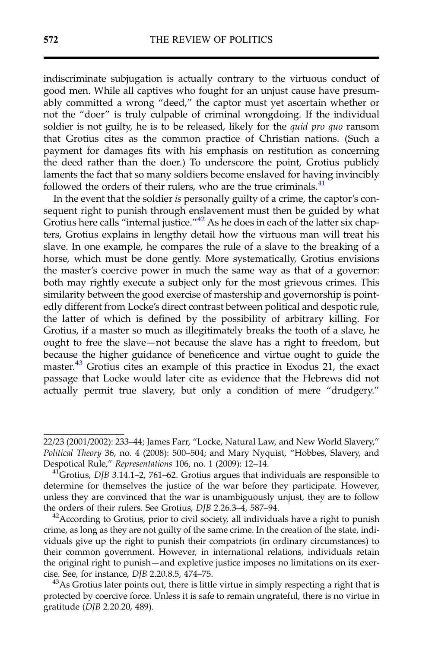indiscriminate subjugation is actually contrary to the virtuous conduct of good men. While all captives who fought for an unjust cause have presumably committed a wrong "deed," the captor must yet ascertain whether or not the "doer" is truly culpable of criminal wrongdoing. If the individual soldier is not guilty, he is to be released, likely for the *quid pro quo* ransom that Grotius cites as the common practice of Christian nations. (Such a payment for damages fits with his emphasis on restitution as concerning the deed rather than the doer.) To underscore the point, Grotius publicly laments the fact that so many soldiers become enslaved for having invincibly followed the orders of their rulers, who are the true criminals.<sup>41</sup>

In the event that the soldier is personally guilty of a crime, the captor's consequent right to punish through enslavement must then be guided by what Grotius here calls "internal justice."<sup>42</sup> As he does in each of the latter six chapters, Grotius explains in lengthy detail how the virtuous man will treat his slave. In one example, he compares the rule of a slave to the breaking of a horse, which must be done gently. More systematically, Grotius envisions the master's coercive power in much the same way as that of a governor: both may rightly execute a subject only for the most grievous crimes. This similarity between the good exercise of mastership and governorship is pointedly different from Locke's direct contrast between political and despotic rule, the latter of which is defined by the possibility of arbitrary killing. For Grotius, if a master so much as illegitimately breaks the tooth of a slave, he ought to free the slave—not because the slave has a right to freedom, but because the higher guidance of beneficence and virtue ought to guide the master.<sup>43</sup> Grotius cites an example of this practice in Exodus 21, the exact passage that Locke would later cite as evidence that the Hebrews did not actually permit true slavery, but only a condition of mere "drudgery."

<sup>22/23 (2001/2002): 233</sup>–44; James Farr, "Locke, Natural Law, and New World Slavery," Political Theory 36, no. 4 (2008): 500–504; and Mary Nyquist, "Hobbes, Slavery, and Despotical Rule," Representations 106, no. 1 (2009): 12–14.<br><sup>41</sup>Grotius, *DJB* 3.14.1–2, 761–62. Grotius argues that individuals are responsible to

determine for themselves the justice of the war before they participate. However, unless they are convinced that the war is unambiguously unjust, they are to follow the orders of their rulers. See Grotius, DJB 2.26.3–4, 587–94.<br><sup>42</sup>According to Grotius, prior to civil society, all individuals have a right to punish

crime, as long as they are not guilty of the same crime. In the creation of the state, individuals give up the right to punish their compatriots (in ordinary circumstances) to their common government. However, in international relations, individuals retain the original right to punish—and expletive justice imposes no limitations on its exercise. See, for instance, *DJB* 2.20.8.5, 474–75.<br><sup>43</sup>As Grotius later points out, there is little virtue in simply respecting a right that is

protected by coercive force. Unless it is safe to remain ungrateful, there is no virtue in gratitude (DJB 2.20.20, 489).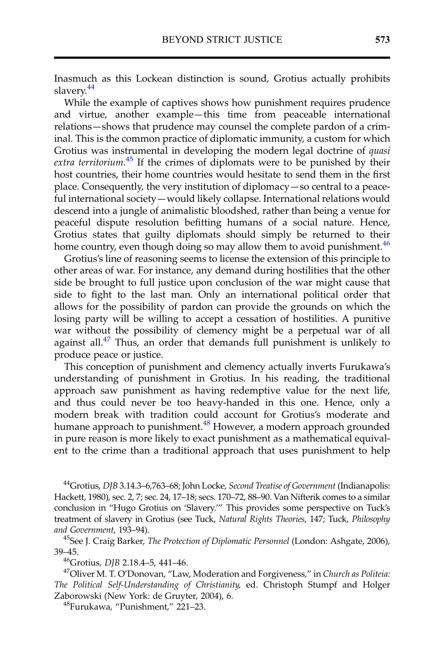Inasmuch as this Lockean distinction is sound, Grotius actually prohibits slavery.<sup>44</sup>

While the example of captives shows how punishment requires prudence and virtue, another example—this time from peaceable international relations—shows that prudence may counsel the complete pardon of a criminal. This is the common practice of diplomatic immunity, a custom for which Grotius was instrumental in developing the modern legal doctrine of quasi extra territorium.<sup>45</sup> If the crimes of diplomats were to be punished by their host countries, their home countries would hesitate to send them in the first place. Consequently, the very institution of diplomacy—so central to a peaceful international society—would likely collapse. International relations would descend into a jungle of animalistic bloodshed, rather than being a venue for peaceful dispute resolution befitting humans of a social nature. Hence, Grotius states that guilty diplomats should simply be returned to their home country, even though doing so may allow them to avoid punishment.<sup>46</sup>

Grotius's line of reasoning seems to license the extension of this principle to other areas of war. For instance, any demand during hostilities that the other side be brought to full justice upon conclusion of the war might cause that side to fight to the last man. Only an international political order that allows for the possibility of pardon can provide the grounds on which the losing party will be willing to accept a cessation of hostilities. A punitive war without the possibility of clemency might be a perpetual war of all against all. $47$  Thus, an order that demands full punishment is unlikely to produce peace or justice.

This conception of punishment and clemency actually inverts Furukawa's understanding of punishment in Grotius. In his reading, the traditional approach saw punishment as having redemptive value for the next life, and thus could never be too heavy-handed in this one. Hence, only a modern break with tradition could account for Grotius's moderate and humane approach to punishment.<sup>48</sup> However, a modern approach grounded in pure reason is more likely to exact punishment as a mathematical equivalent to the crime than a traditional approach that uses punishment to help

<sup>44</sup>Grotius, DJB 3.14.3–6,763–68; John Locke, Second Treatise of Government (Indianapolis: Hackett, 1980), sec. 2, 7; sec. 24, 17–18; secs. 170–72, 88–90. Van Nifterik comes to a similar conclusion in "Hugo Grotius on 'Slavery.'" This provides some perspective on Tuck's treatment of slavery in Grotius (see Tuck, Natural Rights Theories, 147; Tuck, Philosophy and Government, 193–94).<br><sup>45</sup>See J. Craig Barker, *The Protection of Diplomatic Personnel* (London: Ashgate, 2006),

39–45.<br> $^{46}$ Grotius, *DJB* 2.18.4–5, 441–46.

 $47$ Oliver M. T. O'Donovan, "Law, Moderation and Forgiveness," in Church as Politeia: The Political Self-Understanding of Christianity, ed. Christoph Stumpf and Holger Zaborowski (New York: de Gruyter, 2004), 6. 48Furukawa, "Punishment," <sup>221</sup>–23.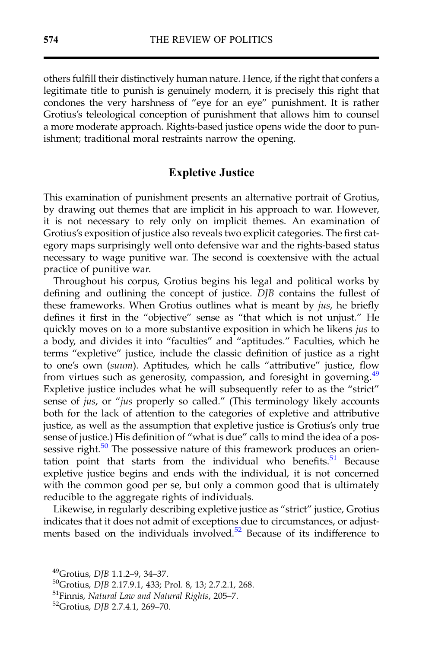others fulfill their distinctively human nature. Hence, if the right that confers a legitimate title to punish is genuinely modern, it is precisely this right that condones the very harshness of "eye for an eye" punishment. It is rather Grotius's teleological conception of punishment that allows him to counsel a more moderate approach. Rights-based justice opens wide the door to punishment; traditional moral restraints narrow the opening.

#### Expletive Justice

This examination of punishment presents an alternative portrait of Grotius, by drawing out themes that are implicit in his approach to war. However, it is not necessary to rely only on implicit themes. An examination of Grotius's exposition of justice also reveals two explicit categories. The first category maps surprisingly well onto defensive war and the rights-based status necessary to wage punitive war. The second is coextensive with the actual practice of punitive war.

Throughout his corpus, Grotius begins his legal and political works by defining and outlining the concept of justice.  $\overline{D}/B$  contains the fullest of these frameworks. When Grotius outlines what is meant by jus, he briefly defines it first in the "objective" sense as "that which is not unjust." He quickly moves on to a more substantive exposition in which he likens jus to a body, and divides it into "faculties" and "aptitudes." Faculties, which he terms "expletive" justice, include the classic definition of justice as a right to one's own (suum). Aptitudes, which he calls "attributive" justice, flow from virtues such as generosity, compassion, and foresight in governing.<sup>49</sup> Expletive justice includes what he will subsequently refer to as the "strict" sense of *jus*, or "*jus* properly so called." (This terminology likely accounts both for the lack of attention to the categories of expletive and attributive justice, as well as the assumption that expletive justice is Grotius's only true sense of justice.) His definition of "what is due" calls to mind the idea of a possessive right. $50$  The possessive nature of this framework produces an orientation point that starts from the individual who benefits. $51$  Because expletive justice begins and ends with the individual, it is not concerned with the common good per se, but only a common good that is ultimately reducible to the aggregate rights of individuals.

Likewise, in regularly describing expletive justice as "strict" justice, Grotius indicates that it does not admit of exceptions due to circumstances, or adjustments based on the individuals involved.<sup>52</sup> Because of its indifference to

<sup>&</sup>lt;sup>49</sup>Grotius, *DJB* 1.1.2–9, 34–37.<br><sup>50</sup>Grotius, *DJB* 2.17.9.1, 433; Prol. 8, 13; 2.7.2.1, 268.<br><sup>51</sup>Finnis, *Natural Law and Natural Rights*, 205–7.<br><sup>52</sup>Grotius, *DJB* 2.7.4.1, 269–70.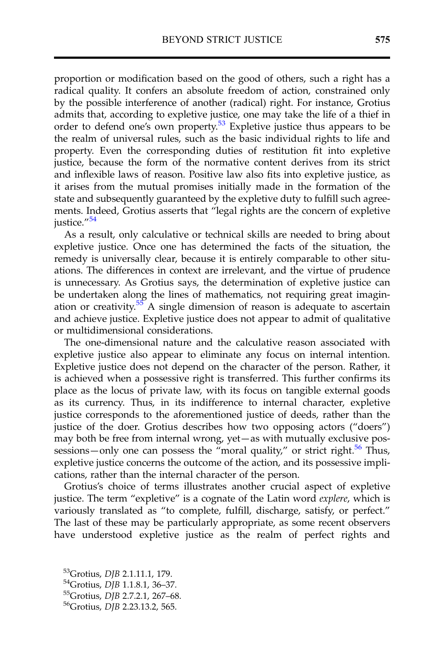proportion or modification based on the good of others, such a right has a radical quality. It confers an absolute freedom of action, constrained only by the possible interference of another (radical) right. For instance, Grotius admits that, according to expletive justice, one may take the life of a thief in order to defend one's own property.53 Expletive justice thus appears to be the realm of universal rules, such as the basic individual rights to life and property. Even the corresponding duties of restitution fit into expletive justice, because the form of the normative content derives from its strict and inflexible laws of reason. Positive law also fits into expletive justice, as it arises from the mutual promises initially made in the formation of the state and subsequently guaranteed by the expletive duty to fulfill such agreements. Indeed, Grotius asserts that "legal rights are the concern of expletive justice."<sup>54</sup>

As a result, only calculative or technical skills are needed to bring about expletive justice. Once one has determined the facts of the situation, the remedy is universally clear, because it is entirely comparable to other situations. The differences in context are irrelevant, and the virtue of prudence is unnecessary. As Grotius says, the determination of expletive justice can be undertaken along the lines of mathematics, not requiring great imagination or creativity. $55$  A single dimension of reason is adequate to ascertain and achieve justice. Expletive justice does not appear to admit of qualitative or multidimensional considerations.

The one-dimensional nature and the calculative reason associated with expletive justice also appear to eliminate any focus on internal intention. Expletive justice does not depend on the character of the person. Rather, it is achieved when a possessive right is transferred. This further confirms its place as the locus of private law, with its focus on tangible external goods as its currency. Thus, in its indifference to internal character, expletive justice corresponds to the aforementioned justice of deeds, rather than the justice of the doer. Grotius describes how two opposing actors ("doers") may both be free from internal wrong, yet—as with mutually exclusive possessions—only one can possess the "moral quality," or strict right.<sup>56</sup> Thus, expletive justice concerns the outcome of the action, and its possessive implications, rather than the internal character of the person.

Grotius's choice of terms illustrates another crucial aspect of expletive justice. The term "expletive" is a cognate of the Latin word explere, which is variously translated as "to complete, fulfill, discharge, satisfy, or perfect." The last of these may be particularly appropriate, as some recent observers have understood expletive justice as the realm of perfect rights and

<sup>&</sup>lt;sup>53</sup>Grotius, DJB 2.1.11.1, 179.<br><sup>54</sup>Grotius, DJB 1.1.8.1, 36–37.<br><sup>55</sup>Grotius, DJB 2.7.2.1, 267–68.<br><sup>56</sup>Grotius, DJB 2.23.13.2, 565.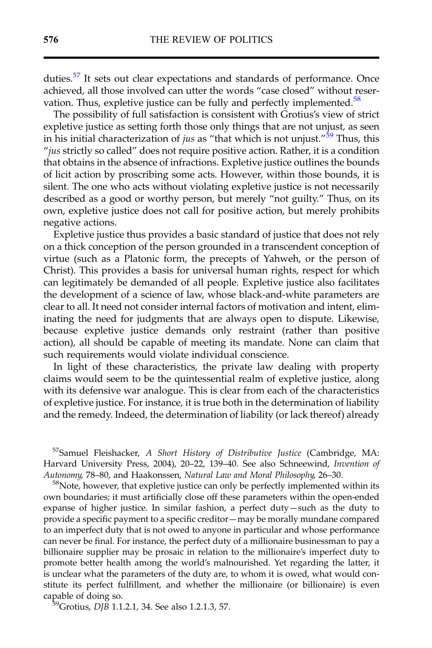duties.<sup>57</sup> It sets out clear expectations and standards of performance. Once achieved, all those involved can utter the words "case closed" without reservation. Thus, expletive justice can be fully and perfectly implemented. $58$ 

The possibility of full satisfaction is consistent with Grotius's view of strict expletive justice as setting forth those only things that are not unjust, as seen in his initial characterization of *jus* as "that which is not unjust."<sup>59</sup> Thus, this "jus strictly so called" does not require positive action. Rather, it is a condition that obtains in the absence of infractions. Expletive justice outlines the bounds of licit action by proscribing some acts. However, within those bounds, it is silent. The one who acts without violating expletive justice is not necessarily described as a good or worthy person, but merely "not guilty." Thus, on its own, expletive justice does not call for positive action, but merely prohibits negative actions.

Expletive justice thus provides a basic standard of justice that does not rely on a thick conception of the person grounded in a transcendent conception of virtue (such as a Platonic form, the precepts of Yahweh, or the person of Christ). This provides a basis for universal human rights, respect for which can legitimately be demanded of all people. Expletive justice also facilitates the development of a science of law, whose black-and-white parameters are clear to all. It need not consider internal factors of motivation and intent, eliminating the need for judgments that are always open to dispute. Likewise, because expletive justice demands only restraint (rather than positive action), all should be capable of meeting its mandate. None can claim that such requirements would violate individual conscience.

In light of these characteristics, the private law dealing with property claims would seem to be the quintessential realm of expletive justice, along with its defensive war analogue. This is clear from each of the characteristics of expletive justice. For instance, it is true both in the determination of liability and the remedy. Indeed, the determination of liability (or lack thereof) already

57Samuel Fleishacker, A Short History of Distributive Justice (Cambridge, MA: Harvard University Press, 2004), 20–22, 139–40. See also Schneewind, Invention of Autonomy, 78–80, and Haakonssen, Natural Law and Moral Philosophy, 26–30.<br><sup>58</sup>Note, however, that expletive justice can only be perfectly implemented within its

own boundaries; it must artificially close off these parameters within the open-ended expanse of higher justice. In similar fashion, a perfect duty—such as the duty to provide a specific payment to a specific creditor—may be morally mundane compared to an imperfect duty that is not owed to anyone in particular and whose performance can never be final. For instance, the perfect duty of a millionaire businessman to pay a billionaire supplier may be prosaic in relation to the millionaire's imperfect duty to promote better health among the world's malnourished. Yet regarding the latter, it is unclear what the parameters of the duty are, to whom it is owed, what would constitute its perfect fulfillment, and whether the millionaire (or billionaire) is even capable of doing so.<br> $59$ Grotius, *DJB* 1.1.2.1, 34. See also 1.2.1.3, 57.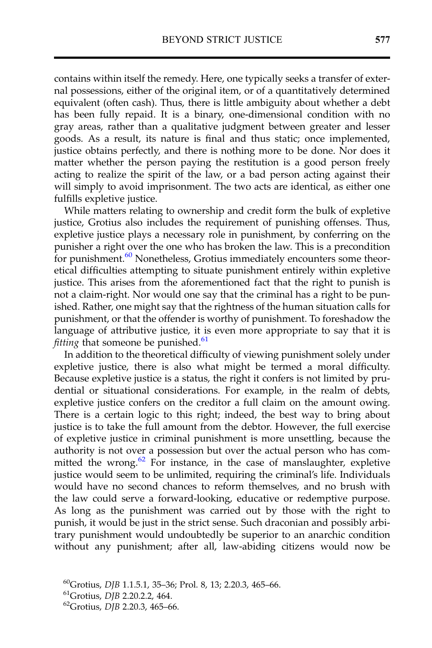contains within itself the remedy. Here, one typically seeks a transfer of external possessions, either of the original item, or of a quantitatively determined equivalent (often cash). Thus, there is little ambiguity about whether a debt has been fully repaid. It is a binary, one-dimensional condition with no gray areas, rather than a qualitative judgment between greater and lesser goods. As a result, its nature is final and thus static; once implemented, justice obtains perfectly, and there is nothing more to be done. Nor does it matter whether the person paying the restitution is a good person freely acting to realize the spirit of the law, or a bad person acting against their will simply to avoid imprisonment. The two acts are identical, as either one fulfills expletive justice.

While matters relating to ownership and credit form the bulk of expletive justice, Grotius also includes the requirement of punishing offenses. Thus, expletive justice plays a necessary role in punishment, by conferring on the punisher a right over the one who has broken the law. This is a precondition for punishment.<sup>60</sup> Nonetheless, Grotius immediately encounters some theoretical difficulties attempting to situate punishment entirely within expletive justice. This arises from the aforementioned fact that the right to punish is not a claim-right. Nor would one say that the criminal has a right to be punished. Rather, one might say that the rightness of the human situation calls for punishment, or that the offender is worthy of punishment. To foreshadow the language of attributive justice, it is even more appropriate to say that it is *fitting* that someone be punished. $61$ 

In addition to the theoretical difficulty of viewing punishment solely under expletive justice, there is also what might be termed a moral difficulty. Because expletive justice is a status, the right it confers is not limited by prudential or situational considerations. For example, in the realm of debts, expletive justice confers on the creditor a full claim on the amount owing. There is a certain logic to this right; indeed, the best way to bring about justice is to take the full amount from the debtor. However, the full exercise of expletive justice in criminal punishment is more unsettling, because the authority is not over a possession but over the actual person who has committed the wrong. $62$  For instance, in the case of manslaughter, expletive justice would seem to be unlimited, requiring the criminal's life. Individuals would have no second chances to reform themselves, and no brush with the law could serve a forward-looking, educative or redemptive purpose. As long as the punishment was carried out by those with the right to punish, it would be just in the strict sense. Such draconian and possibly arbitrary punishment would undoubtedly be superior to an anarchic condition without any punishment; after all, law-abiding citizens would now be

<sup>&</sup>lt;sup>60</sup>Grotius, *DJB* 1.1.5.1, 35–36; Prol. 8, 13; 2.20.3, 465–66.<br><sup>61</sup>Grotius, *DJB* 2.20.2.2, 464. <sup>62</sup>Grotius, *DJB* 2.20.3, 465–66.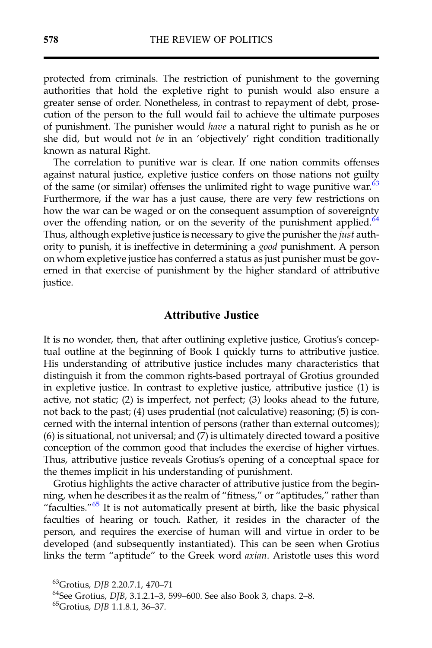protected from criminals. The restriction of punishment to the governing authorities that hold the expletive right to punish would also ensure a greater sense of order. Nonetheless, in contrast to repayment of debt, prosecution of the person to the full would fail to achieve the ultimate purposes of punishment. The punisher would have a natural right to punish as he or she did, but would not be in an 'objectively' right condition traditionally known as natural Right.

The correlation to punitive war is clear. If one nation commits offenses against natural justice, expletive justice confers on those nations not guilty of the same (or similar) offenses the unlimited right to wage punitive war. $63$ Furthermore, if the war has a just cause, there are very few restrictions on how the war can be waged or on the consequent assumption of sovereignty over the offending nation, or on the severity of the punishment applied.<sup>64</sup> Thus, although expletive justice is necessary to give the punisher the *just* authority to punish, it is ineffective in determining a good punishment. A person on whom expletive justice has conferred a status as just punisher must be governed in that exercise of punishment by the higher standard of attributive justice.

#### Attributive Justice

It is no wonder, then, that after outlining expletive justice, Grotius's conceptual outline at the beginning of Book I quickly turns to attributive justice. His understanding of attributive justice includes many characteristics that distinguish it from the common rights-based portrayal of Grotius grounded in expletive justice. In contrast to expletive justice, attributive justice (1) is active, not static; (2) is imperfect, not perfect; (3) looks ahead to the future, not back to the past; (4) uses prudential (not calculative) reasoning; (5) is concerned with the internal intention of persons (rather than external outcomes); (6) is situational, not universal; and (7) is ultimately directed toward a positive conception of the common good that includes the exercise of higher virtues. Thus, attributive justice reveals Grotius's opening of a conceptual space for the themes implicit in his understanding of punishment.

Grotius highlights the active character of attributive justice from the beginning, when he describes it as the realm of "fitness," or "aptitudes," rather than "faculties."<sup>65</sup> It is not automatically present at birth, like the basic physical faculties of hearing or touch. Rather, it resides in the character of the person, and requires the exercise of human will and virtue in order to be developed (and subsequently instantiated). This can be seen when Grotius links the term "aptitude" to the Greek word axian. Aristotle uses this word

<sup>&</sup>lt;sup>63</sup>Grotius, *DJB* 2.20.7.1, 470–71<br><sup>64</sup>See Grotius, *DJB*, 3.1.2.1–3, 599–600. See also Book 3, chaps. 2–8.<br><sup>65</sup>Grotius, *DJB* 1.1.8.1, 36–37.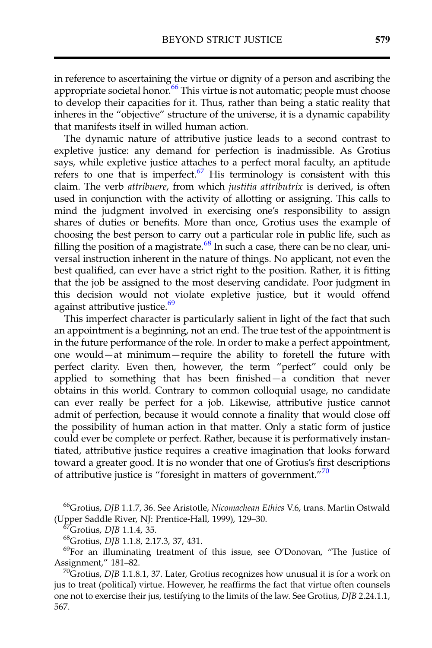in reference to ascertaining the virtue or dignity of a person and ascribing the appropriate societal honor.<sup>66</sup> This virtue is not automatic; people must choose to develop their capacities for it. Thus, rather than being a static reality that inheres in the "objective" structure of the universe, it is a dynamic capability that manifests itself in willed human action.

The dynamic nature of attributive justice leads to a second contrast to expletive justice: any demand for perfection is inadmissible. As Grotius says, while expletive justice attaches to a perfect moral faculty, an aptitude refers to one that is imperfect. $67$  His terminology is consistent with this claim. The verb attribuere, from which justitia attributrix is derived, is often used in conjunction with the activity of allotting or assigning. This calls to mind the judgment involved in exercising one's responsibility to assign shares of duties or benefits. More than once, Grotius uses the example of choosing the best person to carry out a particular role in public life, such as filling the position of a magistrate.<sup>68</sup> In such a case, there can be no clear, universal instruction inherent in the nature of things. No applicant, not even the best qualified, can ever have a strict right to the position. Rather, it is fitting that the job be assigned to the most deserving candidate. Poor judgment in this decision would not violate expletive justice, but it would offend against attributive justice.<sup>69</sup>

This imperfect character is particularly salient in light of the fact that such an appointment is a beginning, not an end. The true test of the appointment is in the future performance of the role. In order to make a perfect appointment, one would—at minimum—require the ability to foretell the future with perfect clarity. Even then, however, the term "perfect" could only be applied to something that has been finished—a condition that never obtains in this world. Contrary to common colloquial usage, no candidate can ever really be perfect for a job. Likewise, attributive justice cannot admit of perfection, because it would connote a finality that would close off the possibility of human action in that matter. Only a static form of justice could ever be complete or perfect. Rather, because it is performatively instantiated, attributive justice requires a creative imagination that looks forward toward a greater good. It is no wonder that one of Grotius's first descriptions of attributive justice is "foresight in matters of government."<sup>70</sup>

<sup>66</sup>Grotius, DJB 1.1.7, 36. See Aristotle, Nicomachean Ethics V.6, trans. Martin Ostwald (Upper Saddle River, NJ: Prentice-Hall, 1999), 129–30.<br><sup>67</sup>Grotius, *DJB* 1.1.4, 35. 68Grotius, *DJB* 1.1.8, 2.17.3, 37, 431. <sup>69</sup>For an illuminating treatment of this issue, see O'Donovan, "The Justice of

Assignment," 181–82.<br><sup>70</sup>Grotius, *DJB* 1.1.8.1, 37. Later, Grotius recognizes how unusual it is for a work on

jus to treat (political) virtue. However, he reaffirms the fact that virtue often counsels one not to exercise their jus, testifying to the limits of the law. See Grotius, DJB 2.24.1.1, 567.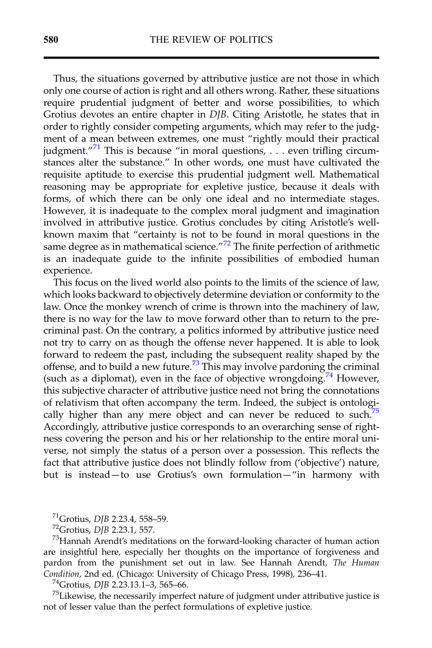Thus, the situations governed by attributive justice are not those in which only one course of action is right and all others wrong. Rather, these situations require prudential judgment of better and worse possibilities, to which Grotius devotes an entire chapter in DJB. Citing Aristotle, he states that in order to rightly consider competing arguments, which may refer to the judgment of a mean between extremes, one must "rightly mould their practical judgment."<sup>71</sup> This is because "in moral questions, . . . even trifling circumstances alter the substance." In other words, one must have cultivated the requisite aptitude to exercise this prudential judgment well. Mathematical reasoning may be appropriate for expletive justice, because it deals with forms, of which there can be only one ideal and no intermediate stages. However, it is inadequate to the complex moral judgment and imagination involved in attributive justice. Grotius concludes by citing Aristotle's wellknown maxim that "certainty is not to be found in moral questions in the same degree as in mathematical science."<sup>72</sup> The finite perfection of arithmetic is an inadequate guide to the infinite possibilities of embodied human experience.

This focus on the lived world also points to the limits of the science of law, which looks backward to objectively determine deviation or conformity to the law. Once the monkey wrench of crime is thrown into the machinery of law, there is no way for the law to move forward other than to return to the precriminal past. On the contrary, a politics informed by attributive justice need not try to carry on as though the offense never happened. It is able to look forward to redeem the past, including the subsequent reality shaped by the offense, and to build a new future.<sup>73</sup> This may involve pardoning the criminal (such as a diplomat), even in the face of objective wrongdoing.<sup>74</sup> However, this subjective character of attributive justice need not bring the connotations of relativism that often accompany the term. Indeed, the subject is ontologically higher than any mere object and can never be reduced to such. $75$ Accordingly, attributive justice corresponds to an overarching sense of rightness covering the person and his or her relationship to the entire moral universe, not simply the status of a person over a possession. This reflects the fact that attributive justice does not blindly follow from ('objective') nature, but is instead—to use Grotius's own formulation—"in harmony with

<sup>71</sup>Grotius, DJB 2.23.4, 558–59.<br><sup>72</sup>Grotius, DJB 2.23.1, 557.<br><sup>73</sup>Hannah Arendt's meditations on the forward-looking character of human action are insightful here, especially her thoughts on the importance of forgiveness and pardon from the punishment set out in law. See Hannah Arendt, The Human Condition, 2nd ed. (Chicago: University of Chicago Press, 1998), 236–41.<br><sup>74</sup>Grotius, *DJB* 2.23.13.1–3, 565–66. <sup>75</sup>Likewise, the necessarily imperfect nature of judgment under attributive justice is

not of lesser value than the perfect formulations of expletive justice.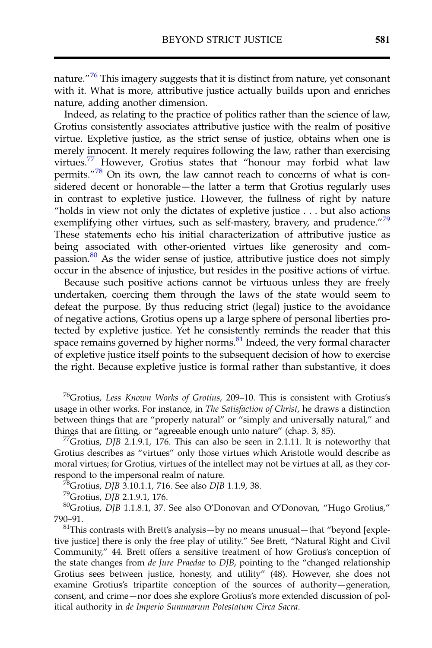nature."<sup>76</sup> This imagery suggests that it is distinct from nature, yet consonant with it. What is more, attributive justice actually builds upon and enriches nature, adding another dimension.

Indeed, as relating to the practice of politics rather than the science of law, Grotius consistently associates attributive justice with the realm of positive virtue. Expletive justice, as the strict sense of justice, obtains when one is merely innocent. It merely requires following the law, rather than exercising virtues.<sup>77</sup> However, Grotius states that "honour may forbid what law permits."<sup>78</sup> On its own, the law cannot reach to concerns of what is considered decent or honorable—the latter a term that Grotius regularly uses in contrast to expletive justice. However, the fullness of right by nature "holds in view not only the dictates of expletive justice . . . but also actions exemplifying other virtues, such as self-mastery, bravery, and prudence."<sup>79</sup> These statements echo his initial characterization of attributive justice as being associated with other-oriented virtues like generosity and compassion. $80$  As the wider sense of justice, attributive justice does not simply occur in the absence of injustice, but resides in the positive actions of virtue.

Because such positive actions cannot be virtuous unless they are freely undertaken, coercing them through the laws of the state would seem to defeat the purpose. By thus reducing strict (legal) justice to the avoidance of negative actions, Grotius opens up a large sphere of personal liberties protected by expletive justice. Yet he consistently reminds the reader that this space remains governed by higher norms.<sup>81</sup> Indeed, the very formal character of expletive justice itself points to the subsequent decision of how to exercise the right. Because expletive justice is formal rather than substantive, it does

<sup>76</sup>Grotius, Less Known Works of Grotius, 209-10. This is consistent with Grotius's usage in other works. For instance, in The Satisfaction of Christ, he draws a distinction between things that are "properly natural" or "simply and universally natural," and things that are fitting, or "agreeable enough unto nature" (chap. 3, 85).

<sup>77</sup>Grotius, DJB 2.1.9.1, 176. This can also be seen in 2.1.11. It is noteworthy that Grotius describes as "virtues" only those virtues which Aristotle would describe as moral virtues; for Grotius, virtues of the intellect may not be virtues at all, as they correspond to the impersonal realm of nature.<br><sup>78</sup>Grotius, DJB 3.10.1.1, 716. See also DJB 1.1.9, 38.<br><sup>79</sup>Grotius, DJB 2.1.9.1, 176.<br><sup>80</sup>Grotius, DJB 1.1.8.1, 37. See also O'Donovan and O'Donovan, "Hugo Grotius,"

790–91.<br><sup>81</sup>This contrasts with Brett's analysis—by no means unusual—that "beyond [expletive justice] there is only the free play of utility." See Brett, "Natural Right and Civil Community," 44. Brett offers a sensitive treatment of how Grotius's conception of the state changes from de Jure Praedae to DJB, pointing to the "changed relationship Grotius sees between justice, honesty, and utility" (48). However, she does not examine Grotius's tripartite conception of the sources of authority—generation, consent, and crime—nor does she explore Grotius's more extended discussion of political authority in de Imperio Summarum Potestatum Circa Sacra.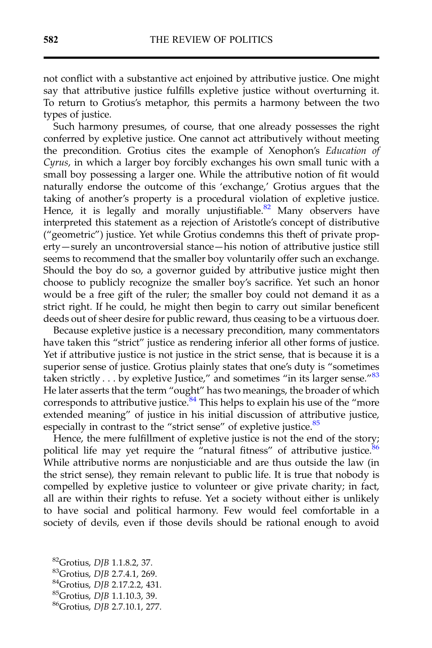not conflict with a substantive act enjoined by attributive justice. One might say that attributive justice fulfills expletive justice without overturning it. To return to Grotius's metaphor, this permits a harmony between the two types of justice.

Such harmony presumes, of course, that one already possesses the right conferred by expletive justice. One cannot act attributively without meeting the precondition. Grotius cites the example of Xenophon's Education of Cyrus, in which a larger boy forcibly exchanges his own small tunic with a small boy possessing a larger one. While the attributive notion of fit would naturally endorse the outcome of this 'exchange,' Grotius argues that the taking of another's property is a procedural violation of expletive justice. Hence, it is legally and morally unjustifiable.<sup>82</sup> Many observers have interpreted this statement as a rejection of Aristotle's concept of distributive ("geometric") justice. Yet while Grotius condemns this theft of private property—surely an uncontroversial stance—his notion of attributive justice still seems to recommend that the smaller boy voluntarily offer such an exchange. Should the boy do so, a governor guided by attributive justice might then choose to publicly recognize the smaller boy's sacrifice. Yet such an honor would be a free gift of the ruler; the smaller boy could not demand it as a strict right. If he could, he might then begin to carry out similar beneficent deeds out of sheer desire for public reward, thus ceasing to be a virtuous doer.

Because expletive justice is a necessary precondition, many commentators have taken this "strict" justice as rendering inferior all other forms of justice. Yet if attributive justice is not justice in the strict sense, that is because it is a superior sense of justice. Grotius plainly states that one's duty is "sometimes taken strictly  $\dots$  by expletive Justice," and sometimes "in its larger sense." $83$ He later asserts that the term "ought" has two meanings, the broader of which corresponds to attributive justice.<sup>84</sup> This helps to explain his use of the "more" extended meaning" of justice in his initial discussion of attributive justice, especially in contrast to the "strict sense" of expletive justice.<sup>85</sup>

Hence, the mere fulfillment of expletive justice is not the end of the story; political life may yet require the "natural fitness" of attributive justice. $86$ While attributive norms are nonjusticiable and are thus outside the law (in the strict sense), they remain relevant to public life. It is true that nobody is compelled by expletive justice to volunteer or give private charity; in fact, all are within their rights to refuse. Yet a society without either is unlikely to have social and political harmony. Few would feel comfortable in a society of devils, even if those devils should be rational enough to avoid

<sup>&</sup>lt;sup>82</sup>Grotius, DJB 1.1.8.2, 37.<br><sup>83</sup>Grotius, DJB 2.7.4.1, 269.<br><sup>84</sup>Grotius, DJB 2.17.2.2, 431.<br><sup>85</sup>Grotius, DJB 1.1.10.3, 39.<br><sup>86</sup>Grotius, DJB 2.7.10.1, 277.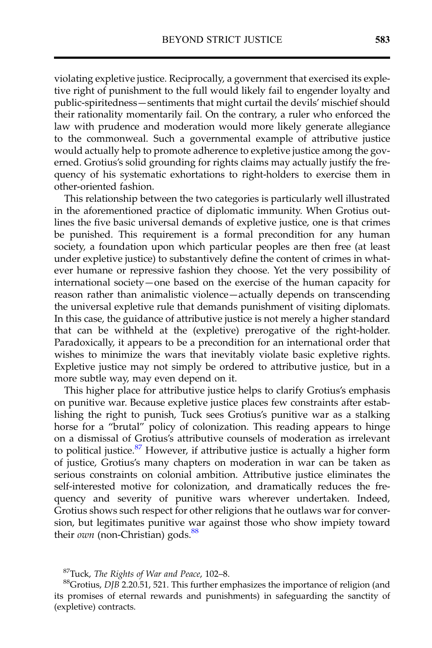violating expletive justice. Reciprocally, a government that exercised its expletive right of punishment to the full would likely fail to engender loyalty and public-spiritedness—sentiments that might curtail the devils' mischief should their rationality momentarily fail. On the contrary, a ruler who enforced the law with prudence and moderation would more likely generate allegiance to the commonweal. Such a governmental example of attributive justice would actually help to promote adherence to expletive justice among the governed. Grotius's solid grounding for rights claims may actually justify the frequency of his systematic exhortations to right-holders to exercise them in other-oriented fashion.

This relationship between the two categories is particularly well illustrated in the aforementioned practice of diplomatic immunity. When Grotius outlines the five basic universal demands of expletive justice, one is that crimes be punished. This requirement is a formal precondition for any human society, a foundation upon which particular peoples are then free (at least under expletive justice) to substantively define the content of crimes in whatever humane or repressive fashion they choose. Yet the very possibility of international society—one based on the exercise of the human capacity for reason rather than animalistic violence—actually depends on transcending the universal expletive rule that demands punishment of visiting diplomats. In this case, the guidance of attributive justice is not merely a higher standard that can be withheld at the (expletive) prerogative of the right-holder. Paradoxically, it appears to be a precondition for an international order that wishes to minimize the wars that inevitably violate basic expletive rights. Expletive justice may not simply be ordered to attributive justice, but in a more subtle way, may even depend on it.

This higher place for attributive justice helps to clarify Grotius's emphasis on punitive war. Because expletive justice places few constraints after establishing the right to punish, Tuck sees Grotius's punitive war as a stalking horse for a "brutal" policy of colonization. This reading appears to hinge on a dismissal of Grotius's attributive counsels of moderation as irrelevant to political justice. $87$  However, if attributive justice is actually a higher form of justice, Grotius's many chapters on moderation in war can be taken as serious constraints on colonial ambition. Attributive justice eliminates the self-interested motive for colonization, and dramatically reduces the frequency and severity of punitive wars wherever undertaken. Indeed, Grotius shows such respect for other religions that he outlaws war for conversion, but legitimates punitive war against those who show impiety toward their  $own$  (non-Christian) gods. $88$ 

<sup>87</sup>Tuck, *The Rights of War and Peace*, 102–8.<br><sup>88</sup>Grotius, *DJB* 2.20.51, 521. This further emphasizes the importance of religion (and its promises of eternal rewards and punishments) in safeguarding the sanctity of (expletive) contracts.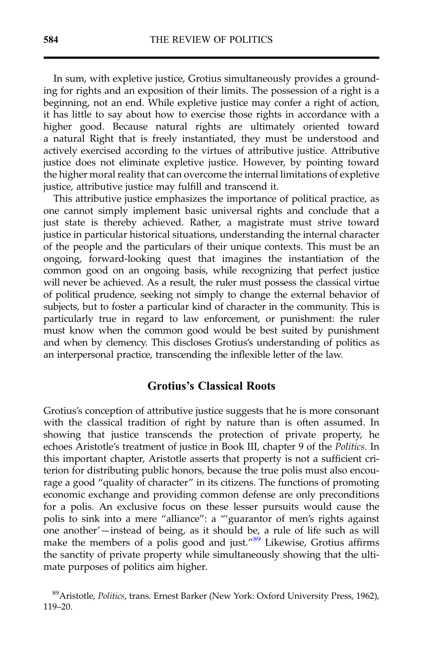In sum, with expletive justice, Grotius simultaneously provides a grounding for rights and an exposition of their limits. The possession of a right is a beginning, not an end. While expletive justice may confer a right of action, it has little to say about how to exercise those rights in accordance with a higher good. Because natural rights are ultimately oriented toward a natural Right that is freely instantiated, they must be understood and actively exercised according to the virtues of attributive justice. Attributive justice does not eliminate expletive justice. However, by pointing toward the higher moral reality that can overcome the internal limitations of expletive justice, attributive justice may fulfill and transcend it.

This attributive justice emphasizes the importance of political practice, as one cannot simply implement basic universal rights and conclude that a just state is thereby achieved. Rather, a magistrate must strive toward justice in particular historical situations, understanding the internal character of the people and the particulars of their unique contexts. This must be an ongoing, forward-looking quest that imagines the instantiation of the common good on an ongoing basis, while recognizing that perfect justice will never be achieved. As a result, the ruler must possess the classical virtue of political prudence, seeking not simply to change the external behavior of subjects, but to foster a particular kind of character in the community. This is particularly true in regard to law enforcement, or punishment: the ruler must know when the common good would be best suited by punishment and when by clemency. This discloses Grotius's understanding of politics as an interpersonal practice, transcending the inflexible letter of the law.

#### Grotius's Classical Roots

Grotius's conception of attributive justice suggests that he is more consonant with the classical tradition of right by nature than is often assumed. In showing that justice transcends the protection of private property, he echoes Aristotle's treatment of justice in Book III, chapter 9 of the Politics. In this important chapter, Aristotle asserts that property is not a sufficient criterion for distributing public honors, because the true polis must also encourage a good "quality of character" in its citizens. The functions of promoting economic exchange and providing common defense are only preconditions for a polis. An exclusive focus on these lesser pursuits would cause the polis to sink into a mere "alliance": a "'guarantor of men's rights against one another'—instead of being, as it should be, a rule of life such as will make the members of a polis good and just."<sup>89</sup> Likewise, Grotius affirms the sanctity of private property while simultaneously showing that the ultimate purposes of politics aim higher.

<sup>&</sup>lt;sup>89</sup>Aristotle, Politics, trans. Ernest Barker (New York: Oxford University Press, 1962), 119–20.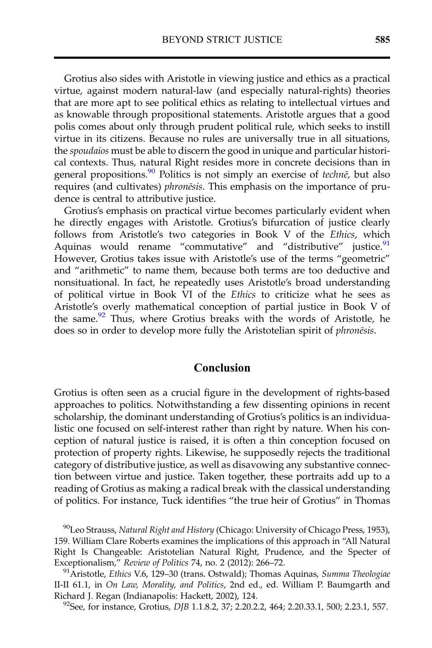Grotius also sides with Aristotle in viewing justice and ethics as a practical virtue, against modern natural-law (and especially natural-rights) theories that are more apt to see political ethics as relating to intellectual virtues and as knowable through propositional statements. Aristotle argues that a good polis comes about only through prudent political rule, which seeks to instill virtue in its citizens. Because no rules are universally true in all situations, the spoudaios must be able to discern the good in unique and particular historical contexts. Thus, natural Right resides more in concrete decisions than in general propositions.<sup>90</sup> Politics is not simply an exercise of techne, but also requires (and cultivates) phronēsis. This emphasis on the importance of prudence is central to attributive justice.

Grotius's emphasis on practical virtue becomes particularly evident when he directly engages with Aristotle. Grotius's bifurcation of justice clearly follows from Aristotle's two categories in Book V of the Ethics, which Aquinas would rename "commutative" and "distributive" justice.<sup>91</sup> However, Grotius takes issue with Aristotle's use of the terms "geometric" and "arithmetic" to name them, because both terms are too deductive and nonsituational. In fact, he repeatedly uses Aristotle's broad understanding of political virtue in Book VI of the Ethics to criticize what he sees as Aristotle's overly mathematical conception of partial justice in Book V of the same.<sup>92</sup> Thus, where Grotius breaks with the words of Aristotle, he does so in order to develop more fully the Aristotelian spirit of phronēsis.

#### Conclusion

Grotius is often seen as a crucial figure in the development of rights-based approaches to politics. Notwithstanding a few dissenting opinions in recent scholarship, the dominant understanding of Grotius's politics is an individualistic one focused on self-interest rather than right by nature. When his conception of natural justice is raised, it is often a thin conception focused on protection of property rights. Likewise, he supposedly rejects the traditional category of distributive justice, as well as disavowing any substantive connection between virtue and justice. Taken together, these portraits add up to a reading of Grotius as making a radical break with the classical understanding of politics. For instance, Tuck identifies "the true heir of Grotius" in Thomas

<sup>90</sup>Leo Strauss, Natural Right and History (Chicago: University of Chicago Press, 1953), 159. William Clare Roberts examines the implications of this approach in "All Natural Right Is Changeable: Aristotelian Natural Right, Prudence, and the Specter of Exceptionalism," Review of Politics 74, no. 2 (2012): 266–72.<br><sup>91</sup>Aristotle, Ethics V.6, 129–30 (trans. Ostwald); Thomas Aquinas, Summa Theologiae

II-II 61.1, in On Law, Morality, and Politics, 2nd ed., ed. William P. Baumgarth and Richard J. Regan (Indianapolis: Hackett, 2002), 124.<br><sup>92</sup>See, for instance, Grotius, *DJB* 1.1.8.2, 37; 2.20.2.2, 464; 2.20.33.1, 500; 2.23.1, 557.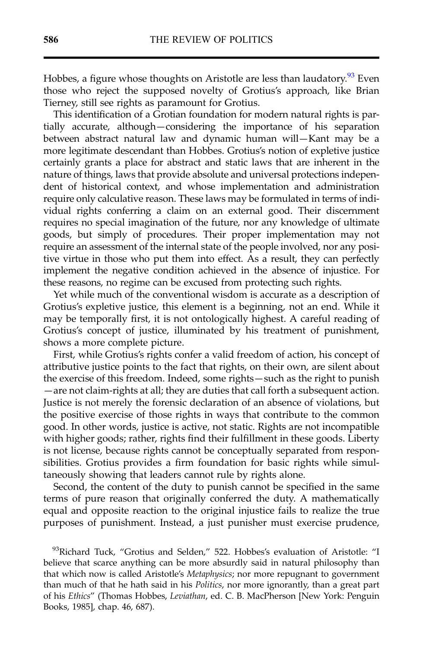Hobbes, a figure whose thoughts on Aristotle are less than laudatory.<sup>93</sup> Even those who reject the supposed novelty of Grotius's approach, like Brian Tierney, still see rights as paramount for Grotius.

This identification of a Grotian foundation for modern natural rights is partially accurate, although—considering the importance of his separation between abstract natural law and dynamic human will—Kant may be a more legitimate descendant than Hobbes. Grotius's notion of expletive justice certainly grants a place for abstract and static laws that are inherent in the nature of things, laws that provide absolute and universal protections independent of historical context, and whose implementation and administration require only calculative reason. These laws may be formulated in terms of individual rights conferring a claim on an external good. Their discernment requires no special imagination of the future, nor any knowledge of ultimate goods, but simply of procedures. Their proper implementation may not require an assessment of the internal state of the people involved, nor any positive virtue in those who put them into effect. As a result, they can perfectly implement the negative condition achieved in the absence of injustice. For these reasons, no regime can be excused from protecting such rights.

Yet while much of the conventional wisdom is accurate as a description of Grotius's expletive justice, this element is a beginning, not an end. While it may be temporally first, it is not ontologically highest. A careful reading of Grotius's concept of justice, illuminated by his treatment of punishment, shows a more complete picture.

First, while Grotius's rights confer a valid freedom of action, his concept of attributive justice points to the fact that rights, on their own, are silent about the exercise of this freedom. Indeed, some rights—such as the right to punish —are not claim-rights at all; they are duties that call forth a subsequent action. Justice is not merely the forensic declaration of an absence of violations, but the positive exercise of those rights in ways that contribute to the common good. In other words, justice is active, not static. Rights are not incompatible with higher goods; rather, rights find their fulfillment in these goods. Liberty is not license, because rights cannot be conceptually separated from responsibilities. Grotius provides a firm foundation for basic rights while simultaneously showing that leaders cannot rule by rights alone.

Second, the content of the duty to punish cannot be specified in the same terms of pure reason that originally conferred the duty. A mathematically equal and opposite reaction to the original injustice fails to realize the true purposes of punishment. Instead, a just punisher must exercise prudence,

 $93$ Richard Tuck, "Grotius and Selden," 522. Hobbes's evaluation of Aristotle: "I believe that scarce anything can be more absurdly said in natural philosophy than that which now is called Aristotle's Metaphysics; nor more repugnant to government than much of that he hath said in his Politics, nor more ignorantly, than a great part of his Ethics" (Thomas Hobbes, Leviathan, ed. C. B. MacPherson [New York: Penguin Books, 1985], chap. 46, 687).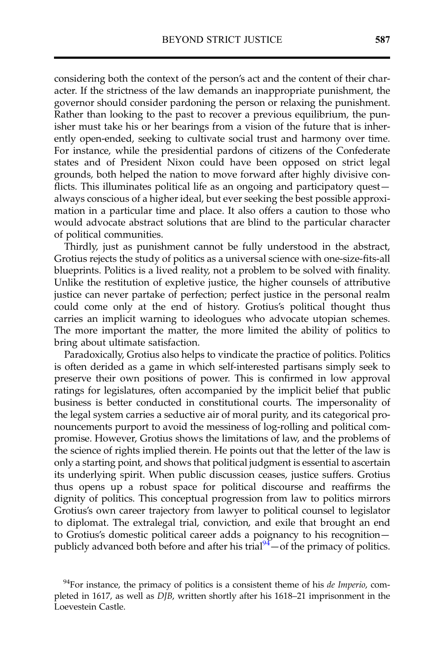considering both the context of the person's act and the content of their character. If the strictness of the law demands an inappropriate punishment, the governor should consider pardoning the person or relaxing the punishment. Rather than looking to the past to recover a previous equilibrium, the punisher must take his or her bearings from a vision of the future that is inherently open-ended, seeking to cultivate social trust and harmony over time. For instance, while the presidential pardons of citizens of the Confederate states and of President Nixon could have been opposed on strict legal grounds, both helped the nation to move forward after highly divisive conflicts. This illuminates political life as an ongoing and participatory quest always conscious of a higher ideal, but ever seeking the best possible approximation in a particular time and place. It also offers a caution to those who would advocate abstract solutions that are blind to the particular character of political communities.

Thirdly, just as punishment cannot be fully understood in the abstract, Grotius rejects the study of politics as a universal science with one-size-fits-all blueprints. Politics is a lived reality, not a problem to be solved with finality. Unlike the restitution of expletive justice, the higher counsels of attributive justice can never partake of perfection; perfect justice in the personal realm could come only at the end of history. Grotius's political thought thus carries an implicit warning to ideologues who advocate utopian schemes. The more important the matter, the more limited the ability of politics to bring about ultimate satisfaction.

Paradoxically, Grotius also helps to vindicate the practice of politics. Politics is often derided as a game in which self-interested partisans simply seek to preserve their own positions of power. This is confirmed in low approval ratings for legislatures, often accompanied by the implicit belief that public business is better conducted in constitutional courts. The impersonality of the legal system carries a seductive air of moral purity, and its categorical pronouncements purport to avoid the messiness of log-rolling and political compromise. However, Grotius shows the limitations of law, and the problems of the science of rights implied therein. He points out that the letter of the law is only a starting point, and shows that political judgment is essential to ascertain its underlying spirit. When public discussion ceases, justice suffers. Grotius thus opens up a robust space for political discourse and reaffirms the dignity of politics. This conceptual progression from law to politics mirrors Grotius's own career trajectory from lawyer to political counsel to legislator to diplomat. The extralegal trial, conviction, and exile that brought an end to Grotius's domestic political career adds a poignancy to his recognition publicly advanced both before and after his trial $\frac{94}{4}$  of the primacy of politics.

 $94$ For instance, the primacy of politics is a consistent theme of his *de Imperio*, completed in 1617, as well as DJB, written shortly after his 1618–21 imprisonment in the Loevestein Castle.